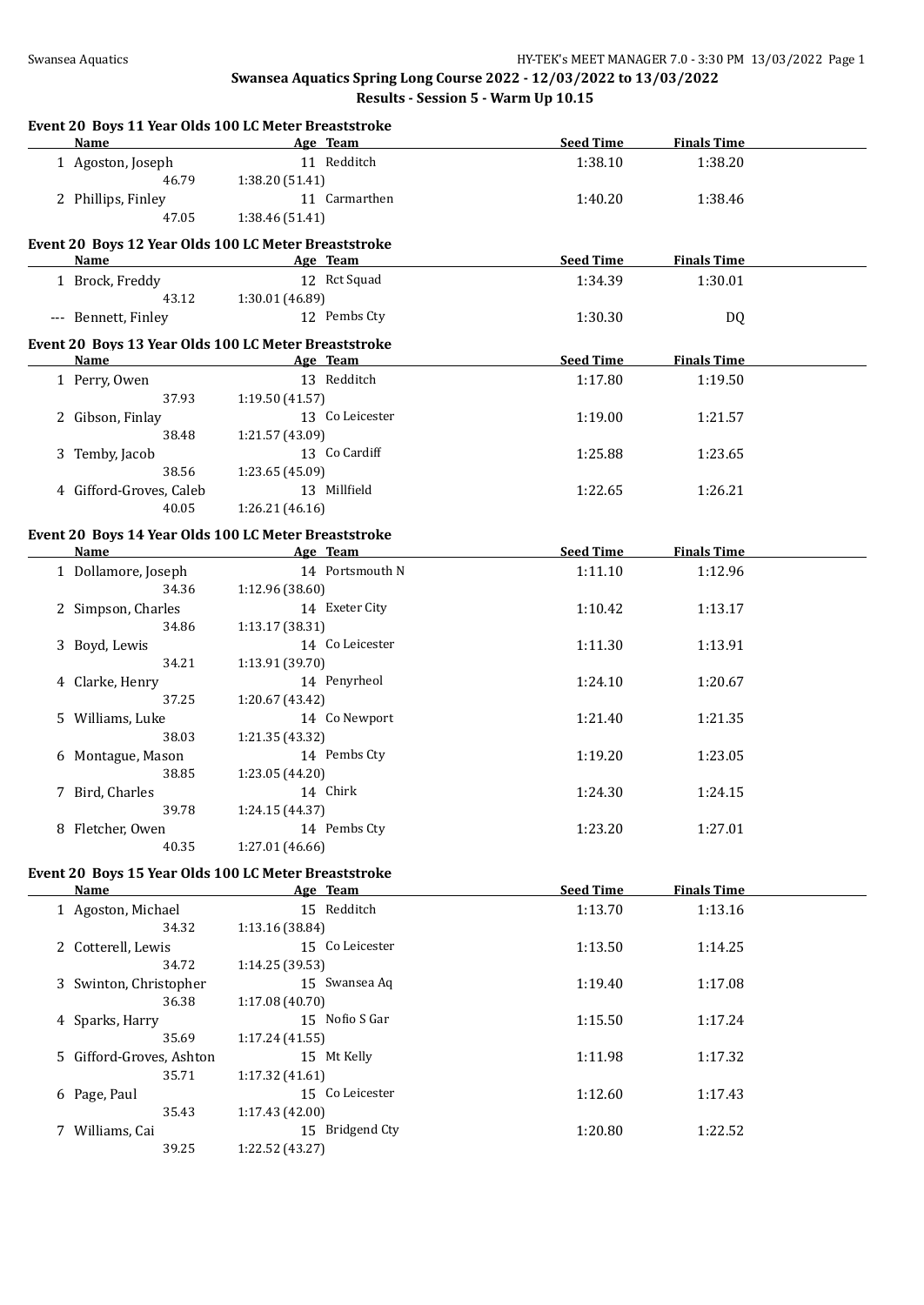| Event 20 Boys 11 Year Olds 100 LC Meter Breaststroke |                           |                 |                  |                    |  |
|------------------------------------------------------|---------------------------|-----------------|------------------|--------------------|--|
| <b>Name</b>                                          |                           | Age Team        | <b>Seed Time</b> | <b>Finals Time</b> |  |
| 1 Agoston, Joseph                                    |                           | 11 Redditch     | 1:38.10          | 1:38.20            |  |
| 46.79                                                | 1:38.20 (51.41)           |                 |                  |                    |  |
| 2 Phillips, Finley                                   |                           | 11 Carmarthen   | 1:40.20          | 1:38.46            |  |
| 47.05                                                | 1:38.46 (51.41)           |                 |                  |                    |  |
| Event 20 Boys 12 Year Olds 100 LC Meter Breaststroke |                           |                 |                  |                    |  |
| Name                                                 |                           | Age Team        | <b>Seed Time</b> | <b>Finals Time</b> |  |
| 1 Brock, Freddy                                      |                           | 12 Rct Squad    | 1:34.39          | 1:30.01            |  |
| 43.12                                                | 1:30.01 (46.89)           |                 |                  |                    |  |
| --- Bennett, Finley                                  |                           | 12 Pembs Cty    | 1:30.30          |                    |  |
|                                                      |                           |                 |                  | DQ                 |  |
| Event 20 Boys 13 Year Olds 100 LC Meter Breaststroke |                           |                 |                  |                    |  |
| Name                                                 |                           | Age Team        | <b>Seed Time</b> | <b>Finals Time</b> |  |
| 1 Perry, Owen                                        |                           | 13 Redditch     | 1:17.80          | 1:19.50            |  |
| 37.93                                                | 1:19.50 (41.57)           |                 |                  |                    |  |
| 2 Gibson, Finlay                                     |                           | 13 Co Leicester | 1:19.00          | 1:21.57            |  |
| 38.48                                                | 1:21.57 (43.09)           |                 |                  |                    |  |
| 3 Temby, Jacob                                       |                           | 13 Co Cardiff   | 1:25.88          | 1:23.65            |  |
| 38.56                                                | 1:23.65 (45.09)           |                 |                  |                    |  |
| 4 Gifford-Groves, Caleb                              |                           | 13 Millfield    | 1:22.65          | 1:26.21            |  |
| 40.05                                                | 1:26.21(46.16)            |                 |                  |                    |  |
|                                                      |                           |                 |                  |                    |  |
| Event 20 Boys 14 Year Olds 100 LC Meter Breaststroke |                           |                 |                  |                    |  |
| <b>Name</b>                                          | <b>Example 2</b> Age Team |                 | <b>Seed Time</b> | <b>Finals Time</b> |  |
| 1 Dollamore, Joseph                                  |                           | 14 Portsmouth N | 1:11.10          | 1:12.96            |  |
| 34.36                                                | 1:12.96 (38.60)           |                 |                  |                    |  |
| 2 Simpson, Charles                                   |                           | 14 Exeter City  | 1:10.42          | 1:13.17            |  |
| 34.86                                                | 1:13.17 (38.31)           |                 |                  |                    |  |
| 3 Boyd, Lewis                                        |                           | 14 Co Leicester | 1:11.30          | 1:13.91            |  |
| 34.21                                                | 1:13.91 (39.70)           |                 |                  |                    |  |
| 4 Clarke, Henry                                      |                           | 14 Penyrheol    | 1:24.10          | 1:20.67            |  |
| 37.25                                                | 1:20.67 (43.42)           |                 |                  |                    |  |
| 5 Williams, Luke                                     |                           | 14 Co Newport   | 1:21.40          | 1:21.35            |  |
| 38.03                                                | 1:21.35 (43.32)           |                 |                  |                    |  |
| 6 Montague, Mason                                    |                           | 14 Pembs Cty    | 1:19.20          | 1:23.05            |  |
| 38.85                                                | 1:23.05 (44.20)           |                 |                  |                    |  |
| 7 Bird, Charles                                      |                           | 14 Chirk        | 1:24.30          | 1:24.15            |  |
| 39.78                                                | 1:24.15 (44.37)           |                 |                  |                    |  |
| 8 Fletcher, Owen                                     |                           | 14 Pembs Cty    | 1:23.20          | 1:27.01            |  |
| 40.35                                                | 1:27.01 (46.66)           |                 |                  |                    |  |
|                                                      |                           |                 |                  |                    |  |
| Event 20 Boys 15 Year Olds 100 LC Meter Breaststroke |                           |                 | <b>Seed Time</b> |                    |  |
| <b>Name</b>                                          |                           | Age Team        |                  | <b>Finals Time</b> |  |
| 1 Agoston, Michael                                   |                           | 15 Redditch     | 1:13.70          | 1:13.16            |  |
| 34.32                                                | 1:13.16 (38.84)           |                 |                  |                    |  |
| 2 Cotterell, Lewis                                   |                           | 15 Co Leicester | 1:13.50          | 1:14.25            |  |
| 34.72                                                | 1:14.25 (39.53)           |                 |                  |                    |  |
| 3 Swinton, Christopher                               |                           | 15 Swansea Aq   | 1:19.40          | 1:17.08            |  |
| 36.38                                                | 1:17.08 (40.70)           |                 |                  |                    |  |
| 4 Sparks, Harry                                      |                           | 15 Nofio S Gar  | 1:15.50          | 1:17.24            |  |
| 35.69                                                | 1:17.24 (41.55)           |                 |                  |                    |  |
| 5 Gifford-Groves, Ashton                             |                           | 15 Mt Kelly     | 1:11.98          | 1:17.32            |  |
| 35.71                                                | 1:17.32 (41.61)           |                 |                  |                    |  |
| 6 Page, Paul                                         |                           | 15 Co Leicester | 1:12.60          | 1:17.43            |  |
| 35.43                                                | 1:17.43 (42.00)           |                 |                  |                    |  |
| 7 Williams, Cai                                      |                           | 15 Bridgend Cty | 1:20.80          | 1:22.52            |  |
| 39.25                                                | 1:22.52 (43.27)           |                 |                  |                    |  |
|                                                      |                           |                 |                  |                    |  |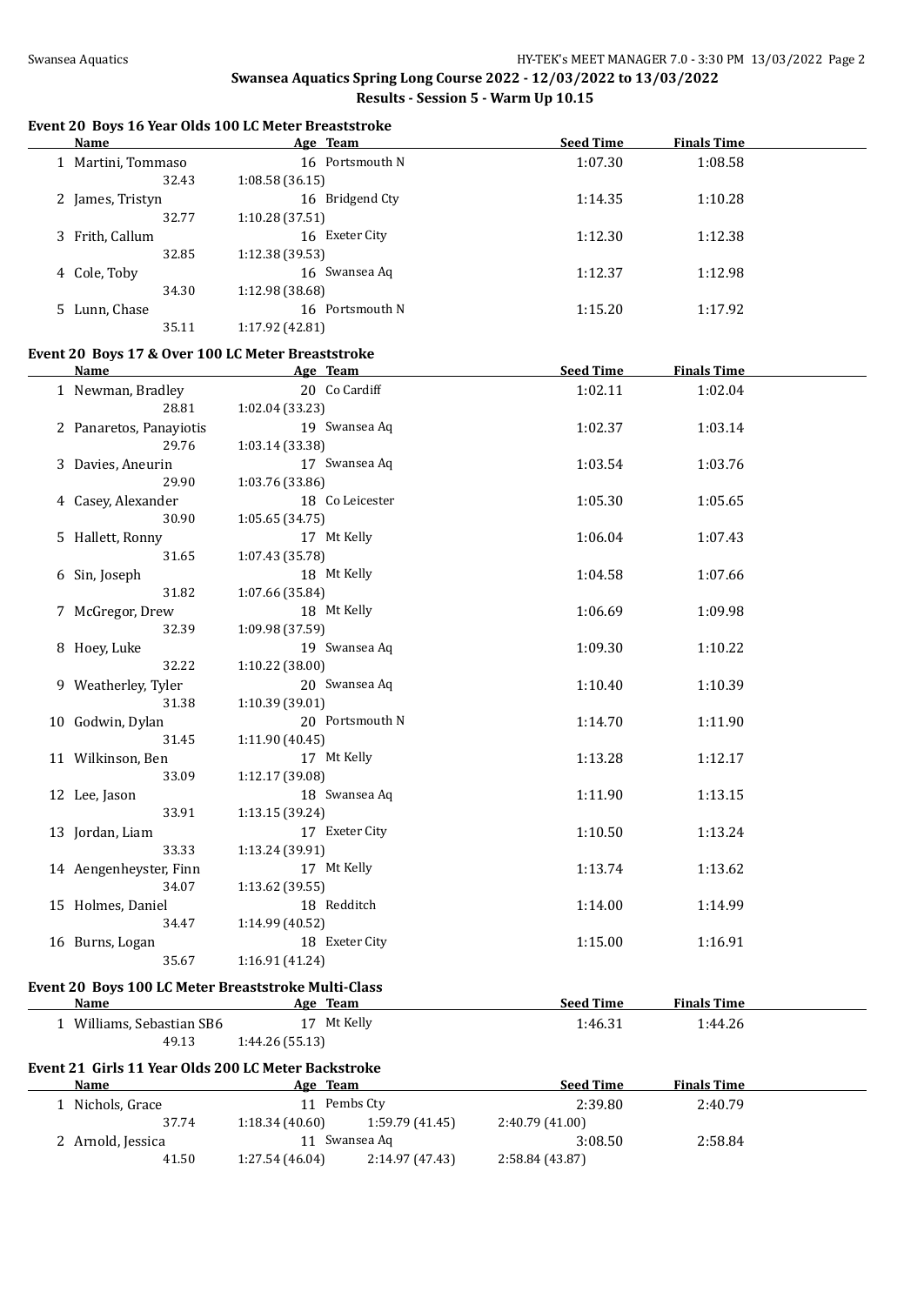# **Event 20 Boys 16 Year Olds 100 LC Meter Breaststroke**

| <b>Name</b>                                         | Age Team                          | <b>Seed Time</b> | <b>Finals Time</b> |  |
|-----------------------------------------------------|-----------------------------------|------------------|--------------------|--|
| 1 Martini, Tommaso                                  | 16 Portsmouth N                   | 1:07.30          | 1:08.58            |  |
| 32.43                                               | 1:08.58(36.15)                    |                  |                    |  |
| 2 James, Tristyn                                    | 16 Bridgend Cty                   | 1:14.35          | 1:10.28            |  |
| 32.77                                               | 1:10.28 (37.51)                   |                  |                    |  |
| 3 Frith, Callum                                     | 16 Exeter City                    | 1:12.30          | 1:12.38            |  |
| 32.85                                               | 1:12.38 (39.53)                   |                  |                    |  |
| 4 Cole, Toby                                        | 16 Swansea Aq                     | 1:12.37          | 1:12.98            |  |
| 34.30                                               | 1:12.98 (38.68)                   |                  |                    |  |
| 5 Lunn, Chase                                       | 16 Portsmouth N                   | 1:15.20          | 1:17.92            |  |
| 35.11                                               | 1:17.92 (42.81)                   |                  |                    |  |
|                                                     |                                   |                  |                    |  |
| Event 20 Boys 17 & Over 100 LC Meter Breaststroke   |                                   |                  |                    |  |
| <b>Name</b>                                         | <b>Example 2</b> Age Team         | <b>Seed Time</b> | <b>Finals Time</b> |  |
| 1 Newman, Bradley                                   | 20 Co Cardiff                     | 1:02.11          | 1:02.04            |  |
| 28.81                                               | 1:02.04 (33.23)                   |                  |                    |  |
| 2 Panaretos, Panayiotis                             | 19 Swansea Aq                     | 1:02.37          | 1:03.14            |  |
| 29.76                                               | 1:03.14 (33.38)                   |                  |                    |  |
| 3 Davies, Aneurin                                   | 17 Swansea Aq                     | 1:03.54          | 1:03.76            |  |
| 29.90                                               | 1:03.76 (33.86)                   |                  |                    |  |
| 4 Casey, Alexander                                  | 18 Co Leicester                   | 1:05.30          | 1:05.65            |  |
| 30.90                                               | 1:05.65 (34.75)                   |                  |                    |  |
| 5 Hallett, Ronny                                    | 17 Mt Kelly                       | 1:06.04          | 1:07.43            |  |
| 31.65                                               | 1:07.43 (35.78)                   |                  |                    |  |
| 6 Sin, Joseph                                       | 18 Mt Kelly                       | 1:04.58          | 1:07.66            |  |
| 31.82                                               | 1:07.66 (35.84)                   |                  |                    |  |
| 7 McGregor, Drew                                    | 18 Mt Kelly                       | 1:06.69          | 1:09.98            |  |
| 32.39                                               | 1:09.98 (37.59)                   |                  |                    |  |
| 8 Hoey, Luke                                        | 19 Swansea Aq                     | 1:09.30          | 1:10.22            |  |
| 32.22                                               | 1:10.22 (38.00)                   |                  |                    |  |
| 9 Weatherley, Tyler                                 | 20 Swansea Aq                     | 1:10.40          | 1:10.39            |  |
| 31.38                                               | 1:10.39 (39.01)                   |                  |                    |  |
| 10 Godwin, Dylan                                    | 20 Portsmouth N                   | 1:14.70          | 1:11.90            |  |
| 31.45                                               | 1:11.90 (40.45)                   |                  |                    |  |
| 11 Wilkinson, Ben                                   | 17 Mt Kelly                       | 1:13.28          | 1:12.17            |  |
| 33.09                                               | 1:12.17 (39.08)                   |                  |                    |  |
| 12 Lee, Jason                                       | 18 Swansea Aq                     | 1:11.90          | 1:13.15            |  |
| 33.91                                               | 1:13.15 (39.24)                   |                  |                    |  |
| 13 Jordan, Liam                                     | 17 Exeter City                    | 1:10.50          | 1:13.24            |  |
| 33.33                                               | 1:13.24 (39.91)                   |                  |                    |  |
| 14 Aengenheyster, Finn                              | 17 Mt Kelly                       | 1:13.74          | 1:13.62            |  |
| 34.07                                               | 1:13.62 (39.55)                   |                  |                    |  |
| 15 Holmes, Daniel                                   | 18 Redditch                       | 1:14.00          | 1:14.99            |  |
| 34.47                                               | 1:14.99 (40.52)                   |                  |                    |  |
| 16 Burns, Logan                                     | 18 Exeter City                    | 1:15.00          | 1:16.91            |  |
| 35.67                                               | 1:16.91 (41.24)                   |                  |                    |  |
|                                                     |                                   |                  |                    |  |
| Event 20 Boys 100 LC Meter Breaststroke Multi-Class |                                   |                  |                    |  |
| Name                                                | Age Team                          | <b>Seed Time</b> | <b>Finals Time</b> |  |
| 1 Williams, Sebastian SB6                           | 17 Mt Kelly                       | 1:46.31          | 1:44.26            |  |
| 49.13                                               | 1:44.26 (55.13)                   |                  |                    |  |
| Event 21 Girls 11 Year Olds 200 LC Meter Backstroke |                                   |                  |                    |  |
| Name                                                | Age Team                          | <b>Seed Time</b> | <b>Finals Time</b> |  |
| 1 Nichols, Grace                                    | 11 Pembs Cty                      | 2:39.80          | 2:40.79            |  |
| 37.74                                               | 1:18.34(40.60)<br>1:59.79 (41.45) | 2:40.79 (41.00)  |                    |  |
| 2 Arnold, Jessica                                   | 11 Swansea Aq                     | 3:08.50          | 2:58.84            |  |
| 41.50                                               | 1:27.54(46.04)<br>2:14.97 (47.43) | 2:58.84 (43.87)  |                    |  |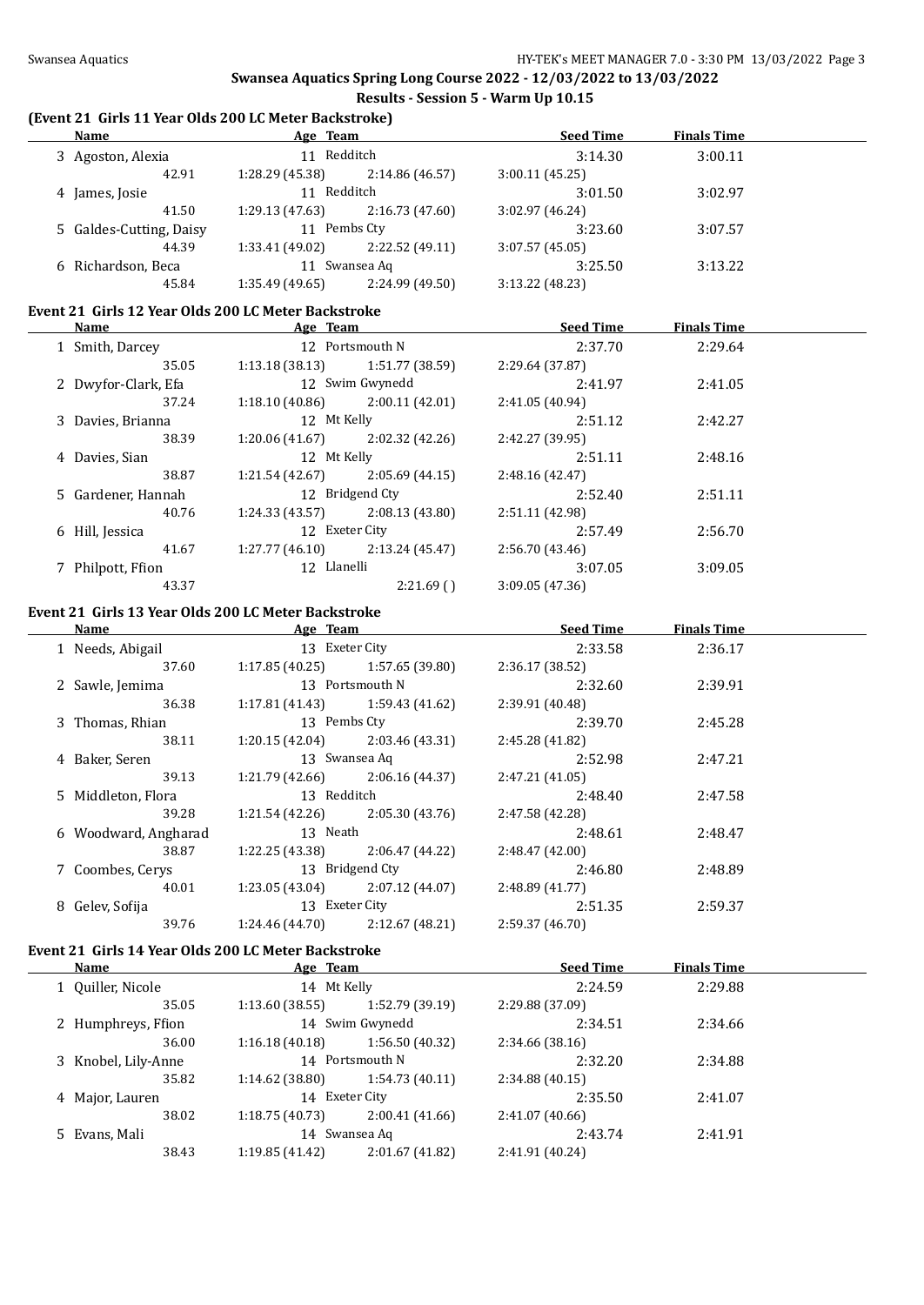$\overline{\phantom{0}}$ 

**Swansea Aquatics Spring Long Course 2022 - 12/03/2022 to 13/03/2022 Results - Session 5 - Warm Up 10.15**

### **(Event 21 Girls 11 Year Olds 200 LC Meter Backstroke)**

| <b>Name</b>             | Age Team         |                 | <b>Seed Time</b> | <b>Finals Time</b> |  |
|-------------------------|------------------|-----------------|------------------|--------------------|--|
| 3 Agoston, Alexia       | 11 Redditch      |                 | 3:14.30          | 3:00.11            |  |
| 42.91                   | 1:28.29 (45.38)  | 2:14.86(46.57)  | 3:00.11(45.25)   |                    |  |
| 4 James, Josie          | 11               | Redditch        |                  | 3:02.97            |  |
| 41.50                   | 1:29.13(47.63)   | 2:16.73(47.60)  | 3:02.97 (46.24)  |                    |  |
| 5 Galdes-Cutting, Daisy | 11 Pembs Ctv     |                 | 3:23.60          | 3:07.57            |  |
| 44.39                   | 1:33.41 (49.02)  | 2:22.52(49.11)  | 3:07.57(45.05)   |                    |  |
| 6 Richardson, Beca      | Swansea Ag<br>11 |                 | 3:25.50          | 3:13.22            |  |
| 45.84                   | 1:35.49(49.65)   | 2:24.99 (49.50) | 3:13.22(48.23)   |                    |  |
|                         |                  |                 |                  |                    |  |

#### **Event 21 Girls 12 Year Olds 200 LC Meter Backstroke**

| Name                | Age Team        |                 | <b>Seed Time</b> | <b>Finals Time</b> |  |
|---------------------|-----------------|-----------------|------------------|--------------------|--|
| 1 Smith, Darcey     |                 | 12 Portsmouth N |                  | 2:29.64            |  |
| 35.05               | 1:13.18 (38.13) | 1:51.77 (38.59) | 2:29.64 (37.87)  |                    |  |
| 2 Dwyfor-Clark, Efa |                 | 12 Swim Gwynedd | 2:41.97          | 2:41.05            |  |
| 37.24               | 1:18.10(40.86)  | 2:00.11 (42.01) | 2:41.05 (40.94)  |                    |  |
| 3 Davies, Brianna   | 12 Mt Kelly     |                 | 2:51.12          | 2:42.27            |  |
| 38.39               | 1:20.06 (41.67) | 2:02.32(42.26)  | 2:42.27 (39.95)  |                    |  |
| 4 Davies, Sian      | 12 Mt Kelly     |                 | 2:51.11          | 2:48.16            |  |
| 38.87               | 1:21.54 (42.67) | 2:05.69(44.15)  | 2:48.16(42.47)   |                    |  |
| 5 Gardener, Hannah  |                 | 12 Bridgend Cty | 2:52.40          | 2:51.11            |  |
| 40.76               | 1:24.33 (43.57) | 2:08.13(43.80)  | 2:51.11 (42.98)  |                    |  |
| 6 Hill, Jessica     | 12 Exeter City  |                 | 2:57.49          | 2:56.70            |  |
| 41.67               | 1:27.77(46.10)  | 2:13.24(45.47)  | 2:56.70(43.46)   |                    |  |
| 7 Philpott, Ffion   | 12 Llanelli     |                 | 3:07.05          | 3:09.05            |  |
| 43.37               |                 | 2:21.69()       | 3:09.05(47.36)   |                    |  |

# **Event 21 Girls 13 Year Olds 200 LC Meter Backstroke**

| Name |                      | Age Team        |                 | <b>Seed Time</b><br><b>Finals Time</b> |         |  |
|------|----------------------|-----------------|-----------------|----------------------------------------|---------|--|
|      | 1 Needs, Abigail     | 13 Exeter City  |                 | 2:33.58                                | 2:36.17 |  |
|      | 37.60                | 1:17.85(40.25)  | 1:57.65(39.80)  | 2:36.17 (38.52)                        |         |  |
|      | 2 Sawle, Jemima      |                 | 13 Portsmouth N | 2:32.60                                | 2:39.91 |  |
|      | 36.38                | 1:17.81 (41.43) | 1:59.43 (41.62) | 2:39.91 (40.48)                        |         |  |
|      | 3 Thomas, Rhian      | 13 Pembs Cty    |                 | 2:39.70                                | 2:45.28 |  |
|      | 38.11                | 1:20.15(42.04)  | 2:03.46 (43.31) | 2:45.28 (41.82)                        |         |  |
|      | 4 Baker, Seren       |                 | 13 Swansea Aq   | 2:52.98                                | 2:47.21 |  |
|      | 39.13                | 1:21.79 (42.66) | 2:06.16 (44.37) | 2:47.21 (41.05)                        |         |  |
|      | 5 Middleton, Flora   | 13 Redditch     |                 | 2:48.40                                | 2:47.58 |  |
|      | 39.28                | 1:21.54(42.26)  | 2:05.30(43.76)  | 2:47.58 (42.28)                        |         |  |
|      | 6 Woodward, Angharad | 13 Neath        |                 | 2:48.61                                | 2:48.47 |  |
|      | 38.87                | 1:22.25 (43.38) | 2:06.47 (44.22) | 2:48.47 (42.00)                        |         |  |
|      | 7 Coombes, Cerys     |                 | 13 Bridgend Cty | 2:46.80                                | 2:48.89 |  |
|      | 40.01                | 1:23.05(43.04)  | 2:07.12(44.07)  | 2:48.89(41.77)                         |         |  |
|      | 8 Gelev, Sofija      | 13 Exeter City  |                 | 2:51.35                                | 2:59.37 |  |
|      | 39.76                | 1:24.46 (44.70) | 2:12.67(48.21)  | 2:59.37 (46.70)                        |         |  |
|      |                      |                 |                 |                                        |         |  |

# **Event 21 Girls 14 Year Olds 200 LC Meter Backstroke**

| Name                | Age Team       |                 | <b>Seed Time</b> | <b>Finals Time</b> |  |
|---------------------|----------------|-----------------|------------------|--------------------|--|
| 1 Ouiller, Nicole   | 14 Mt Kelly    |                 | 2:24.59          | 2:29.88            |  |
| 35.05               | 1:13.60(38.55) | 1:52.79 (39.19) | 2:29.88 (37.09)  |                    |  |
| 2 Humphreys, Ffion  |                | 14 Swim Gwynedd | 2:34.51          | 2:34.66            |  |
| 36.00               | 1:16.18(40.18) | 1:56.50(40.32)  | 2:34.66(38.16)   |                    |  |
| 3 Knobel, Lily-Anne |                | 14 Portsmouth N | 2:32.20          | 2:34.88            |  |
| 35.82               | 1:14.62(38.80) | 1:54.73(40.11)  | 2:34.88(40.15)   |                    |  |
| 4 Major, Lauren     |                | 14 Exeter City  | 2:35.50          | 2:41.07            |  |
| 38.02               | 1:18.75(40.73) | 2:00.41(41.66)  | 2:41.07(40.66)   |                    |  |
| 5 Evans, Mali       |                | 14 Swansea Ag   | 2:43.74          | 2:41.91            |  |
| 38.43               | 1:19.85(41.42) | 2:01.67 (41.82) | 2:41.91 (40.24)  |                    |  |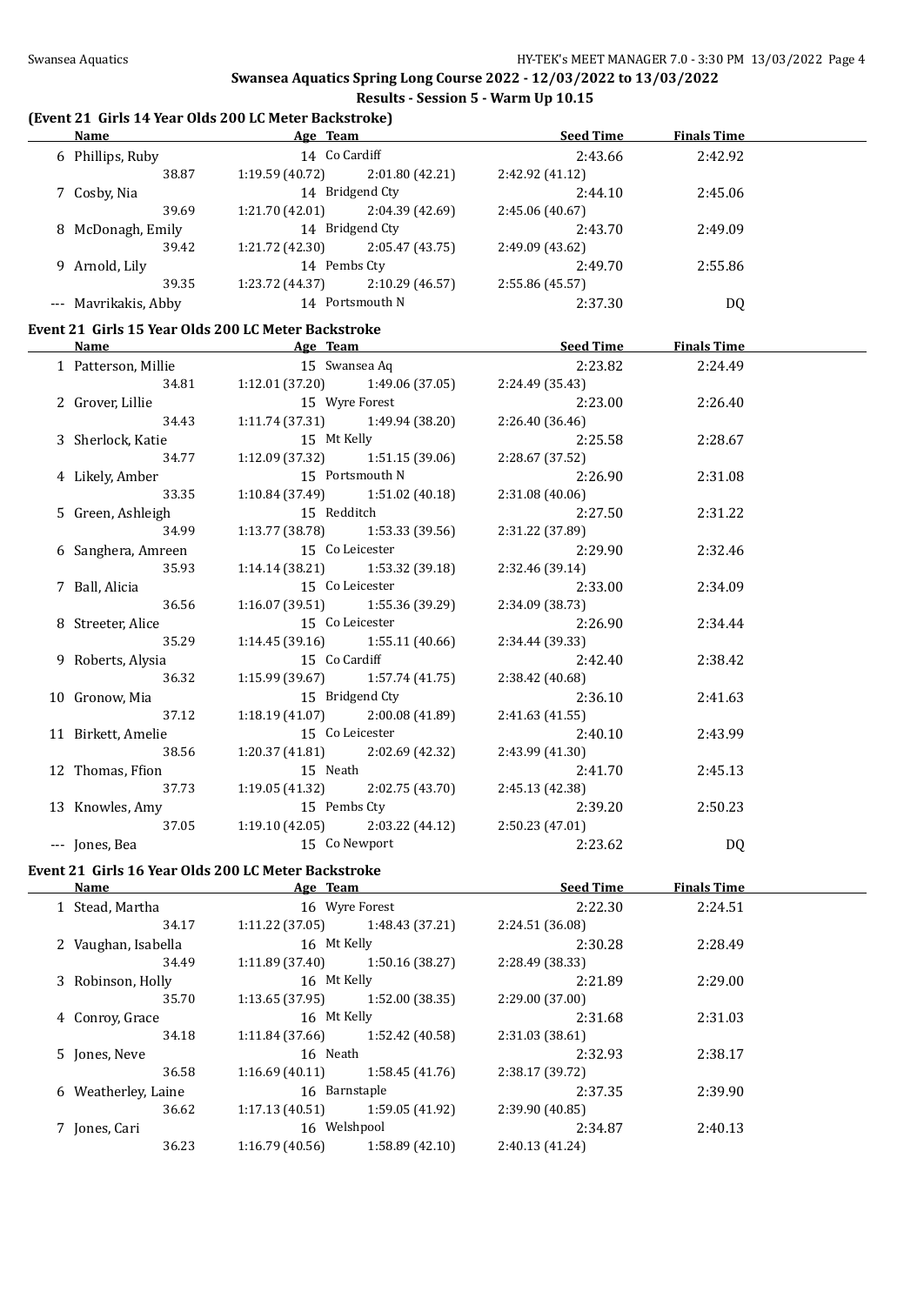# **(Event 21 Girls 14 Year Olds 200 LC Meter Backstroke)**

| <b>Name</b>                                         | <u>Age Team and Age Team</u>              |                                   | Seed Time                                                                          | <b>Finals Time</b> |  |
|-----------------------------------------------------|-------------------------------------------|-----------------------------------|------------------------------------------------------------------------------------|--------------------|--|
| 6 Phillips, Ruby                                    | 14 Co Cardiff                             |                                   | 2:43.66                                                                            | 2:42.92            |  |
| 38.87                                               |                                           | $1:19.59(40.72)$ $2:01.80(42.21)$ | 2:42.92 (41.12)                                                                    |                    |  |
| 7 Cosby, Nia                                        | 14 Bridgend Cty                           |                                   | 2:44.10                                                                            | 2:45.06            |  |
| 39.69                                               |                                           | 1:21.70 (42.01) $2:04.39$ (42.69) | 2:45.06 (40.67)                                                                    |                    |  |
| 8 McDonagh, Emily                                   | 14 Bridgend Cty                           |                                   | 2:43.70                                                                            | 2:49.09            |  |
| 39.42                                               | $1:21.72$ (42.30) $2:05.47$ (43.75)       |                                   | 2:49.09 (43.62)                                                                    |                    |  |
| 9 Arnold, Lily                                      | 14 Pembs Cty                              |                                   | 2:49.70                                                                            | 2:55.86            |  |
| 39.35                                               |                                           | 1:23.72 (44.37) $2:10.29$ (46.57) | 2:55.86 (45.57)                                                                    |                    |  |
| --- Mavrikakis, Abby                                | 14 Portsmouth N                           |                                   | 2:37.30                                                                            | DQ                 |  |
| Event 21 Girls 15 Year Olds 200 LC Meter Backstroke |                                           |                                   |                                                                                    |                    |  |
| <b>Name</b>                                         |                                           |                                   | <b>Example 2018</b> Age Team <b>Age 2018</b> Age Team <b>Seed Time</b> Finals Time |                    |  |
| 1 Patterson, Millie                                 | 15 Swansea Aq                             |                                   | 2:23.82                                                                            | 2:24.49            |  |
|                                                     | 34.81   1:12.01 (37.20)   1:49.06 (37.05) |                                   | 2:24.49 (35.43)                                                                    |                    |  |
| 2 Grover, Lillie                                    | 15 Wyre Forest                            |                                   | 2:23.00                                                                            | 2:26.40            |  |
| 34.43                                               | $1:11.74(37.31)$ $1:49.94(38.20)$         |                                   | 2:26.40 (36.46)                                                                    |                    |  |
| 3 Sherlock, Katie                                   | 15 Mt Kelly                               |                                   | 2:25.58                                                                            | 2:28.67            |  |
| 34.77                                               | $1:12.09$ (37.32) $1:51.15$ (39.06)       |                                   | 2:28.67 (37.52)                                                                    |                    |  |
| 4 Likely, Amber                                     |                                           | 15 Portsmouth N                   | 2:26.90                                                                            | 2:31.08            |  |
| 33.35                                               | 1:10.84(37.49)                            | 1:51.02 (40.18)                   | 2:31.08 (40.06)                                                                    |                    |  |
| 5 Green, Ashleigh                                   | 15 Redditch                               |                                   | 2:27.50                                                                            | 2:31.22            |  |
| 34.99                                               | 1:13.77(38.78)                            | 1:53.33 (39.56)                   | 2:31.22 (37.89)                                                                    |                    |  |
| 6 Sanghera, Amreen                                  | 15 Co Leicester                           |                                   | 2:29.90                                                                            | 2:32.46            |  |
| 35.93                                               | 1:14.14 (38.21)<br>1:53.32 (39.18)        |                                   | 2:32.46 (39.14)                                                                    |                    |  |
| 7 Ball, Alicia                                      | 15 Co Leicester                           |                                   | 2:33.00                                                                            | 2:34.09            |  |
| 36.56                                               |                                           | $1:16.07(39.51)$ $1:55.36(39.29)$ | 2:34.09 (38.73)                                                                    |                    |  |
| 8 Streeter, Alice                                   | 15 Co Leicester                           |                                   | 2:26.90                                                                            | 2:34.44            |  |
| 35.29                                               |                                           | $1:14.45(39.16)$ $1:55.11(40.66)$ | 2:34.44 (39.33)                                                                    |                    |  |
| 9 Roberts, Alysia                                   | 15 Co Cardiff                             |                                   | 2:42.40                                                                            | 2:38.42            |  |
| 36.32                                               | $1:15.99(39.67)$ $1:57.74(41.75)$         |                                   | 2:38.42 (40.68)                                                                    |                    |  |
| 10 Gronow, Mia                                      | 15 Bridgend Cty                           |                                   | 2:36.10                                                                            | 2:41.63            |  |
| 37.12                                               | $1:18.19(41.07)$ $2:00.08(41.89)$         |                                   | 2:41.63 (41.55)                                                                    |                    |  |
| 11 Birkett, Amelie                                  | 15 Co Leicester                           |                                   | 2:40.10                                                                            | 2:43.99            |  |
| 38.56                                               | $1:20.37(41.81)$ $2:02.69(42.32)$         |                                   | 2:43.99 (41.30)                                                                    |                    |  |
| 12 Thomas, Ffion                                    | 15 Neath                                  |                                   | 2:41.70                                                                            | 2:45.13            |  |
| 37.73                                               | 1:19.05 (41.32)                           | 2:02.75 (43.70)                   | 2:45.13 (42.38)                                                                    |                    |  |
| 13 Knowles, Amy                                     | 15 Pembs Cty                              |                                   | 2:39.20                                                                            | 2:50.23            |  |
| 37.05                                               | 1:19.10(42.05)                            | 2:03.22 (44.12)                   | 2:50.23(47.01)                                                                     |                    |  |
| --- Jones, Bea                                      | 15 Co Newport                             |                                   | 2:23.62                                                                            | DQ                 |  |
|                                                     |                                           |                                   |                                                                                    |                    |  |

# **Event 21 Girls 16 Year Olds 200 LC Meter Backstroke**

| Name                | Age Team        |                 | <b>Seed Time</b> | <b>Finals Time</b> |  |
|---------------------|-----------------|-----------------|------------------|--------------------|--|
| 1 Stead, Martha     |                 | 16 Wyre Forest  | 2:22.30          | 2:24.51            |  |
| 34.17               | 1:11.22(37.05)  | 1:48.43 (37.21) | 2:24.51 (36.08)  |                    |  |
| 2 Vaughan, Isabella | 16 Mt Kelly     |                 | 2:30.28          | 2:28.49            |  |
| 34.49               | 1:11.89 (37.40) | 1:50.16(38.27)  | 2:28.49 (38.33)  |                    |  |
| 3 Robinson, Holly   | 16 Mt Kelly     |                 | 2:21.89          | 2:29.00            |  |
| 35.70               | 1:13.65(37.95)  | 1:52.00(38.35)  | 2:29.00(37.00)   |                    |  |
| 4 Conroy, Grace     | 16 Mt Kelly     |                 | 2:31.68          | 2:31.03            |  |
| 34.18               | 1:11.84 (37.66) | 1:52.42 (40.58) | 2:31.03(38.61)   |                    |  |
| 5 Jones, Neve       | 16 Neath        |                 | 2:32.93          | 2:38.17            |  |
| 36.58               | 1:16.69(40.11)  | 1:58.45(41.76)  | 2:38.17 (39.72)  |                    |  |
| 6 Weatherley, Laine | 16 Barnstaple   |                 | 2:37.35          | 2:39.90            |  |
| 36.62               | 1:17.13(40.51)  | 1:59.05 (41.92) | 2:39.90(40.85)   |                    |  |
| 7 Jones, Cari       | 16 Welshpool    |                 | 2:34.87          | 2:40.13            |  |
| 36.23               | 1:16.79(40.56)  | 1:58.89(42.10)  | 2:40.13(41.24)   |                    |  |
|                     |                 |                 |                  |                    |  |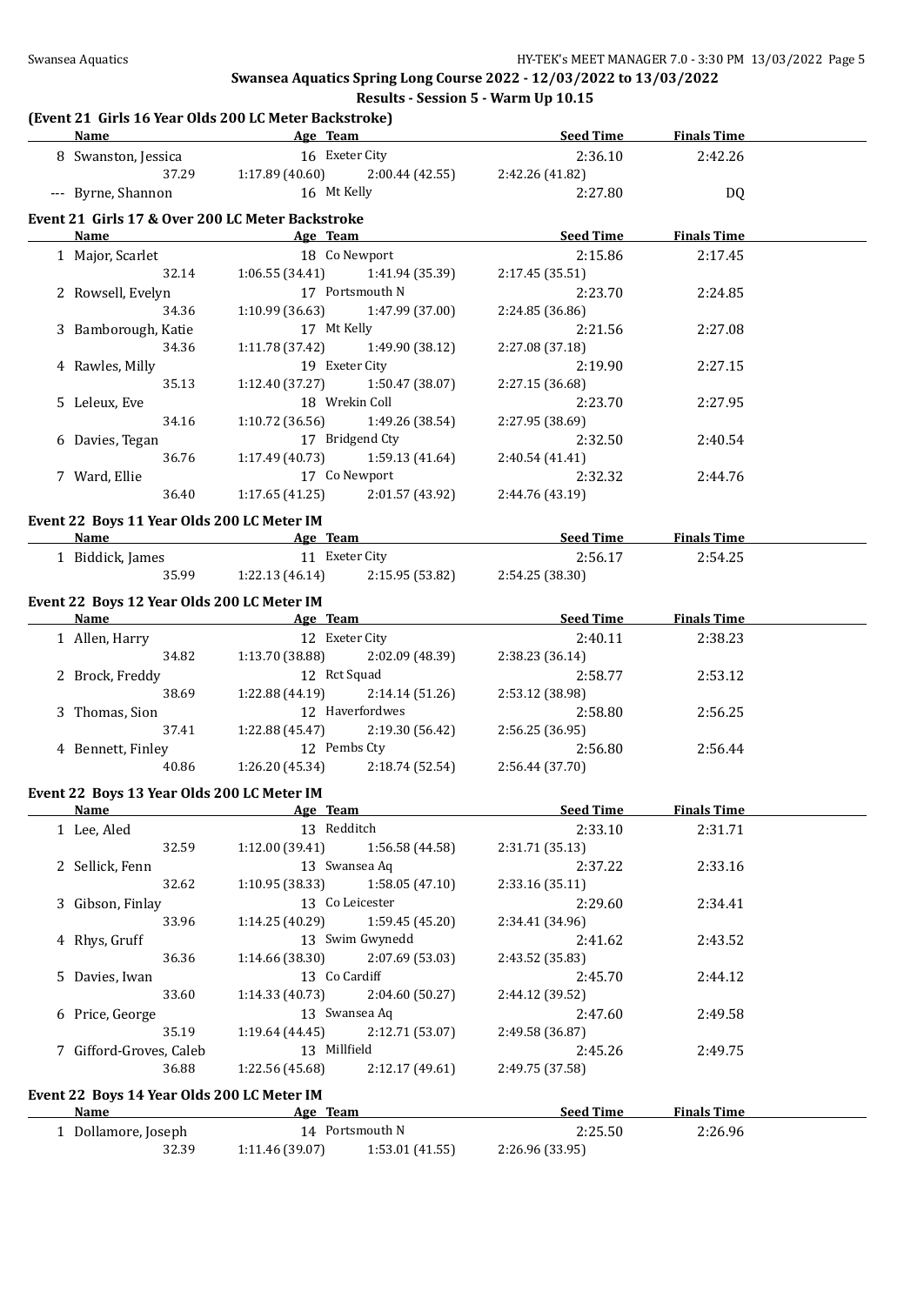# **(Event 21 Girls 16 Year Olds 200 LC Meter Backstroke)**

| Name                                                     | <b>Example 2</b> Age Team                             |                 | <b>Seed Time</b>                                  | <b>Finals Time</b> |  |
|----------------------------------------------------------|-------------------------------------------------------|-----------------|---------------------------------------------------|--------------------|--|
| 8 Swanston, Jessica                                      | 16 Exeter City                                        |                 | 2:36.10                                           | 2:42.26            |  |
| 37.29                                                    | $1:17.89(40.60)$ $2:00.44(42.55)$ $2:42.26(41.82)$    |                 |                                                   |                    |  |
| --- Byrne, Shannon                                       | 16 Mt Kelly                                           |                 | 2:27.80                                           | DQ                 |  |
|                                                          |                                                       |                 |                                                   |                    |  |
| Event 21 Girls 17 & Over 200 LC Meter Backstroke<br>Name | <b>Example 2016</b> Age Team                          |                 | <u>Seed Time</u>                                  | <b>Finals Time</b> |  |
| 1 Major, Scarlet                                         | 18 Co Newport                                         |                 | 2:15.86                                           | 2:17.45            |  |
| 32.14                                                    | $1:06.55(34.41)$ $1:41.94(35.39)$                     |                 | 2:17.45 (35.51)                                   |                    |  |
| 2 Rowsell, Evelyn                                        | 17 Portsmouth N                                       |                 | 2:23.70                                           | 2:24.85            |  |
| 34.36                                                    | 1:10.99(36.63)                                        | 1:47.99 (37.00) | 2:24.85 (36.86)                                   |                    |  |
| 3 Bamborough, Katie                                      | 17 Mt Kelly                                           |                 | 2:21.56                                           | 2:27.08            |  |
| 34.36                                                    | 1:11.78 (37.42)                                       | 1:49.90 (38.12) | 2:27.08 (37.18)                                   |                    |  |
| 4 Rawles, Milly                                          | 19 Exeter City                                        |                 | 2:19.90                                           | 2:27.15            |  |
| 35.13                                                    | 1:12.40(37.27)                                        | 1:50.47 (38.07) | 2:27.15 (36.68)                                   |                    |  |
| 5 Leleux, Eve                                            | 18 Wrekin Coll                                        |                 | 2:23.70                                           | 2:27.95            |  |
| 34.16                                                    | 1:10.72(36.56)                                        | 1:49.26 (38.54) | 2:27.95 (38.69)                                   |                    |  |
|                                                          | 17 Bridgend Cty                                       |                 |                                                   |                    |  |
| 6 Davies, Tegan<br>36.76                                 |                                                       | 1:59.13 (41.64) | 2:32.50                                           | 2:40.54            |  |
|                                                          | 1:17.49(40.73)<br>17 Co Newport                       |                 | 2:40.54 (41.41)                                   |                    |  |
| 7 Ward, Ellie                                            |                                                       | 2:01.57 (43.92) | 2:32.32                                           | 2:44.76            |  |
| 36.40                                                    | 1:17.65(41.25)                                        |                 | 2:44.76 (43.19)                                   |                    |  |
| Event 22 Boys 11 Year Olds 200 LC Meter IM               |                                                       |                 |                                                   |                    |  |
|                                                          |                                                       |                 | <b>Name</b> Seed Time Age Team Age Team Seed Time | <b>Finals Time</b> |  |
| 1 Biddick, James                                         | 11 Exeter City                                        |                 | 2:56.17                                           | 2:54.25            |  |
|                                                          | 35.99 1:22.13 (46.14) 2:15.95 (53.82) 2:54.25 (38.30) |                 |                                                   |                    |  |
| Event 22 Boys 12 Year Olds 200 LC Meter IM               |                                                       |                 |                                                   |                    |  |
|                                                          |                                                       |                 | Name Age Team Seed Time                           | <b>Finals Time</b> |  |
| 1 Allen, Harry                                           | 12 Exeter City                                        |                 | 2:40.11                                           | 2:38.23            |  |
|                                                          | 34.82 1:13.70 (38.88) 2:02.09 (48.39)                 |                 | 2:38.23 (36.14)                                   |                    |  |
| 2 Brock, Freddy                                          | 12 Rct Squad                                          |                 | 2:58.77                                           | 2:53.12            |  |
| 38.69                                                    | $1:22.88(44.19)$ $2:14.14(51.26)$                     |                 | 2:53.12 (38.98)                                   |                    |  |
| 3 Thomas, Sion                                           | 12 Haverfordwes                                       |                 | 2:58.80                                           | 2:56.25            |  |
| 37.41                                                    | $1:22.88(45.47)$ $2:19.30(56.42)$                     |                 | 2:56.25 (36.95)                                   |                    |  |
| 4 Bennett, Finley                                        | 12 Pembs Cty                                          |                 | 2:56.80                                           | 2:56.44            |  |
| 40.86                                                    | $1:26.20(45.34)$ $2:18.74(52.54)$                     |                 | 2:56.44 (37.70)                                   |                    |  |
|                                                          |                                                       |                 |                                                   |                    |  |
| Event 22 Boys 13 Year Olds 200 LC Meter IM               |                                                       |                 |                                                   |                    |  |
| Name                                                     | <b>Example 2</b> Age Team                             |                 | <b>Seed Time</b>                                  | <b>Finals Time</b> |  |
| 1 Lee, Aled                                              | 13 Redditch                                           |                 | 2:33.10                                           | 2:31.71            |  |
| 32.59                                                    | $1:12.00(39.41)$ $1:56.58(44.58)$                     |                 | 2:31.71 (35.13)                                   |                    |  |
| 2 Sellick, Fenn                                          | 13 Swansea Aq                                         |                 | 2:37.22                                           | 2:33.16            |  |
| 32.62                                                    | $1:10.95(38.33)$ $1:58.05(47.10)$                     |                 | 2:33.16 (35.11)                                   |                    |  |
| 3 Gibson, Finlay                                         | 13 Co Leicester                                       |                 | 2:29.60                                           | 2:34.41            |  |
| 33.96                                                    | $1:14.25(40.29)$ $1:59.45(45.20)$                     |                 | 2:34.41 (34.96)                                   |                    |  |
| 4 Rhys, Gruff                                            | 13 Swim Gwynedd                                       |                 | 2:41.62                                           | 2:43.52            |  |
| 36.36                                                    | 1:14.66 (38.30)                                       | 2:07.69 (53.03) | 2:43.52 (35.83)                                   |                    |  |
| 5 Davies, Iwan                                           | 13 Co Cardiff                                         |                 | 2:45.70                                           | 2:44.12            |  |
| 33.60                                                    | 1:14.33 (40.73)                                       | 2:04.60 (50.27) | 2:44.12 (39.52)                                   |                    |  |
| 6 Price, George                                          | 13 Swansea Aq                                         |                 | 2:47.60                                           | 2:49.58            |  |
| 35.19                                                    | 1:19.64 (44.45)                                       | 2:12.71 (53.07) | 2:49.58 (36.87)                                   |                    |  |
| 7 Gifford-Groves, Caleb                                  | 13 Millfield                                          |                 | 2:45.26                                           | 2:49.75            |  |
| 36.88                                                    | $1:22.56(45.68)$ $2:12.17(49.61)$                     |                 | 2:49.75 (37.58)                                   |                    |  |
| Event 22 Boys 14 Year Olds 200 LC Meter IM               |                                                       |                 |                                                   |                    |  |
| <u>Name</u>                                              | <b>Example 2016</b> Age Team                          |                 | <b>Seed Time</b>                                  | <b>Finals Time</b> |  |
| 1 Dollamore, Joseph                                      | 14 Portsmouth N                                       |                 | 2:25.50                                           |                    |  |
| 32.39                                                    | 1:11.46 (39.07)                                       | 1:53.01(41.55)  | 2:26.96 (33.95)                                   | 2:26.96            |  |
|                                                          |                                                       |                 |                                                   |                    |  |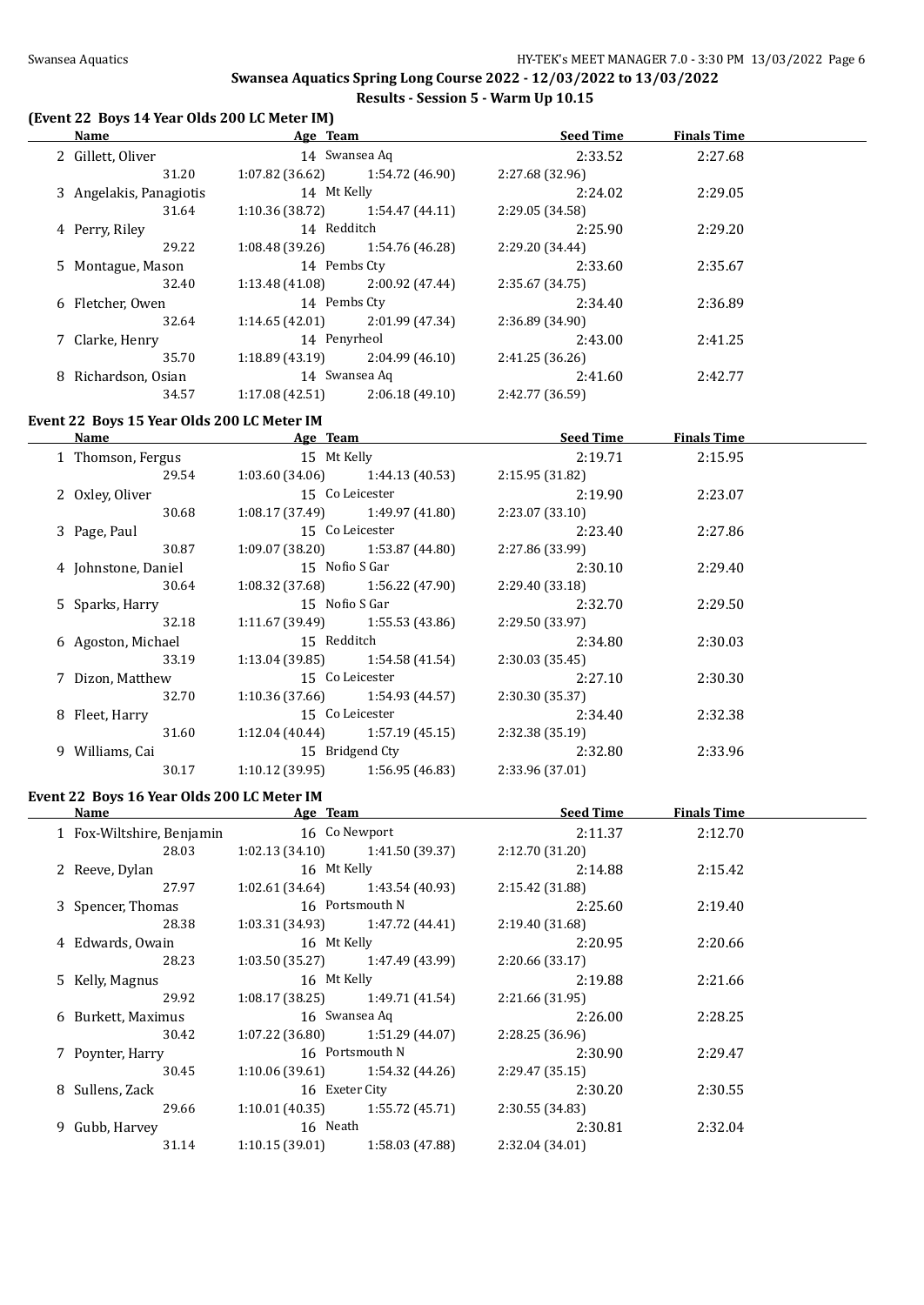$\overline{a}$ 

 $\overline{\phantom{a}}$ 

**Swansea Aquatics Spring Long Course 2022 - 12/03/2022 to 13/03/2022 Results - Session 5 - Warm Up 10.15**

### **(Event 22 Boys 14 Year Olds 200 LC Meter IM)**

| Name                    | Age Team                          |                                   | <b>Seed Time</b> | <b>Finals Time</b> |  |
|-------------------------|-----------------------------------|-----------------------------------|------------------|--------------------|--|
| 2 Gillett, Oliver       |                                   | 14 Swansea Aq                     | 2:33.52          | 2:27.68            |  |
| 31.20                   |                                   | $1:07.82(36.62)$ $1:54.72(46.90)$ | 2:27.68 (32.96)  |                    |  |
| 3 Angelakis, Panagiotis | 14 Mt Kelly                       |                                   | 2:24.02          | 2:29.05            |  |
| 31.64                   | $1:10.36(38.72)$ $1:54.47(44.11)$ |                                   | 2:29.05 (34.58)  |                    |  |
| 4 Perry, Riley          | 14 Redditch                       |                                   | 2:25.90          | 2:29.20            |  |
| 29.22                   | $1:08.48(39.26)$ $1:54.76(46.28)$ |                                   | 2:29.20 (34.44)  |                    |  |
| 5 Montague, Mason       | 14 Pembs Cty                      |                                   | 2:33.60          | 2:35.67            |  |
| 32.40                   | $1:13.48(41.08)$ $2:00.92(47.44)$ |                                   | 2:35.67(34.75)   |                    |  |
| 6 Fletcher, Owen        | 14 Pembs Cty                      |                                   | 2:34.40          | 2:36.89            |  |
| 32.64                   | $1:14.65(42.01)$ 2:01.99 (47.34)  |                                   | 2:36.89 (34.90)  |                    |  |
| 7 Clarke, Henry         | 14 Penyrheol                      |                                   | 2:43.00          | 2:41.25            |  |
| 35.70                   | $1:18.89(43.19)$ 2:04.99 (46.10)  |                                   | 2:41.25(36.26)   |                    |  |
| 8 Richardson, Osian     | 14 Swansea Aq                     |                                   | 2:41.60          | 2:42.77            |  |
| 34.57                   | 1:17.08 (42.51)                   | 2:06.18 (49.10)                   | 2:42.77 (36.59)  |                    |  |

#### **Event 22 Boys 15 Year Olds 200 LC Meter IM**

| <b>Name</b> |                     | Age Team        |                                   | <b>Seed Time</b> | <b>Finals Time</b> |  |
|-------------|---------------------|-----------------|-----------------------------------|------------------|--------------------|--|
|             | 1 Thomson, Fergus   | 15 Mt Kelly     |                                   | 2:19.71          | 2:15.95            |  |
|             | 29.54               |                 | $1:03.60(34.06)$ $1:44.13(40.53)$ | 2:15.95 (31.82)  |                    |  |
|             | 2 Oxley, Oliver     |                 | 15 Co Leicester                   | 2:19.90          | 2:23.07            |  |
|             | 30.68               |                 | $1:08.17(37.49)$ $1:49.97(41.80)$ | 2:23.07(33.10)   |                    |  |
|             | 3 Page, Paul        |                 | 15 Co Leicester                   | 2:23.40          | 2:27.86            |  |
|             | 30.87               |                 | $1:09.07(38.20)$ $1:53.87(44.80)$ | 2:27.86 (33.99)  |                    |  |
|             | 4 Johnstone, Daniel | 15 Nofio S Gar  |                                   | 2:30.10          | 2:29.40            |  |
|             | 30.64               |                 | $1:08.32(37.68)$ $1:56.22(47.90)$ | 2:29.40 (33.18)  |                    |  |
|             | 5 Sparks, Harry     | 15 Nofio S Gar  |                                   | 2:32.70          | 2:29.50            |  |
|             | 32.18               |                 | $1:11.67(39.49)$ $1:55.53(43.86)$ | 2:29.50 (33.97)  |                    |  |
|             | 6 Agoston, Michael  | 15 Redditch     |                                   | 2:34.80          | 2:30.03            |  |
|             | 33.19               |                 | $1:13.04(39.85)$ $1:54.58(41.54)$ | 2:30.03(35.45)   |                    |  |
|             | 7 Dizon, Matthew    |                 | 15 Co Leicester                   | 2:27.10          | 2:30.30            |  |
|             | 32.70               |                 | $1:10.36(37.66)$ $1:54.93(44.57)$ | 2:30.30(35.37)   |                    |  |
|             | 8 Fleet, Harry      |                 | 15 Co Leicester                   | 2:34.40          | 2:32.38            |  |
|             | 31.60               |                 | $1:12.04(40.44)$ $1:57.19(45.15)$ | 2:32.38(35.19)   |                    |  |
|             | 9 Williams, Cai     |                 | 15 Bridgend Cty                   | 2:32.80          | 2:33.96            |  |
|             | 30.17               | 1:10.12 (39.95) | 1:56.95 (46.83)                   | 2:33.96 (37.01)  |                    |  |
|             |                     |                 |                                   |                  |                    |  |

# **Event 22 Boys 16 Year Olds 200 LC Meter IM**

| Name  |                                                                                                                                                                                        |                 | <b>Seed Time</b><br><b>Finals Time</b>                                                                                                                                                                                                                                                                                                                                                                                                                              |         |  |
|-------|----------------------------------------------------------------------------------------------------------------------------------------------------------------------------------------|-----------------|---------------------------------------------------------------------------------------------------------------------------------------------------------------------------------------------------------------------------------------------------------------------------------------------------------------------------------------------------------------------------------------------------------------------------------------------------------------------|---------|--|
|       |                                                                                                                                                                                        |                 | 2:11.37                                                                                                                                                                                                                                                                                                                                                                                                                                                             | 2:12.70 |  |
| 28.03 |                                                                                                                                                                                        |                 | 2:12.70(31.20)                                                                                                                                                                                                                                                                                                                                                                                                                                                      |         |  |
|       |                                                                                                                                                                                        |                 | 2:14.88                                                                                                                                                                                                                                                                                                                                                                                                                                                             | 2:15.42 |  |
| 27.97 |                                                                                                                                                                                        |                 | 2:15.42 (31.88)                                                                                                                                                                                                                                                                                                                                                                                                                                                     |         |  |
|       |                                                                                                                                                                                        |                 | 2:25.60                                                                                                                                                                                                                                                                                                                                                                                                                                                             | 2:19.40 |  |
| 28.38 |                                                                                                                                                                                        |                 | 2:19.40 (31.68)                                                                                                                                                                                                                                                                                                                                                                                                                                                     |         |  |
|       |                                                                                                                                                                                        |                 | 2:20.95                                                                                                                                                                                                                                                                                                                                                                                                                                                             | 2:20.66 |  |
| 28.23 |                                                                                                                                                                                        |                 | 2:20.66(33.17)                                                                                                                                                                                                                                                                                                                                                                                                                                                      |         |  |
|       |                                                                                                                                                                                        |                 | 2:19.88                                                                                                                                                                                                                                                                                                                                                                                                                                                             | 2:21.66 |  |
| 29.92 |                                                                                                                                                                                        |                 | 2:21.66 (31.95)                                                                                                                                                                                                                                                                                                                                                                                                                                                     |         |  |
|       |                                                                                                                                                                                        |                 | 2:26.00                                                                                                                                                                                                                                                                                                                                                                                                                                                             | 2:28.25 |  |
| 30.42 |                                                                                                                                                                                        |                 | 2:28.25(36.96)                                                                                                                                                                                                                                                                                                                                                                                                                                                      |         |  |
|       |                                                                                                                                                                                        |                 | 2:30.90                                                                                                                                                                                                                                                                                                                                                                                                                                                             | 2:29.47 |  |
| 30.45 |                                                                                                                                                                                        |                 | 2:29.47(35.15)                                                                                                                                                                                                                                                                                                                                                                                                                                                      |         |  |
|       |                                                                                                                                                                                        |                 | 2:30.20                                                                                                                                                                                                                                                                                                                                                                                                                                                             | 2:30.55 |  |
| 29.66 |                                                                                                                                                                                        |                 | 2:30.55(34.83)                                                                                                                                                                                                                                                                                                                                                                                                                                                      |         |  |
|       |                                                                                                                                                                                        |                 | 2:30.81                                                                                                                                                                                                                                                                                                                                                                                                                                                             | 2:32.04 |  |
| 31.14 | 1:10.15(39.01)                                                                                                                                                                         | 1:58.03 (47.88) | 2:32.04(34.01)                                                                                                                                                                                                                                                                                                                                                                                                                                                      |         |  |
|       | 1 Fox-Wiltshire, Benjamin<br>2 Reeve, Dylan<br>3 Spencer, Thomas<br>4 Edwards, Owain<br>5 Kelly, Magnus<br>6 Burkett, Maximus<br>7 Poynter, Harry<br>8 Sullens, Zack<br>9 Gubb, Harvey |                 | Age Team<br>16 Co Newport<br>$1:02.13(34.10)$ $1:41.50(39.37)$<br>16 Mt Kelly<br>$1:02.61(34.64)$ $1:43.54(40.93)$<br>16 Portsmouth N<br>$1:03.31(34.93)$ $1:47.72(44.41)$<br>16 Mt Kelly<br>$1:03.50(35.27)$ $1:47.49(43.99)$<br>16 Mt Kelly<br>$1:08.17(38.25)$ $1:49.71(41.54)$<br>16 Swansea Aq<br>$1:07.22(36.80)$ $1:51.29(44.07)$<br>16 Portsmouth N<br>$1:10.06(39.61)$ $1:54.32(44.26)$<br>16 Exeter City<br>$1:10.01(40.35)$ $1:55.72(45.71)$<br>16 Neath |         |  |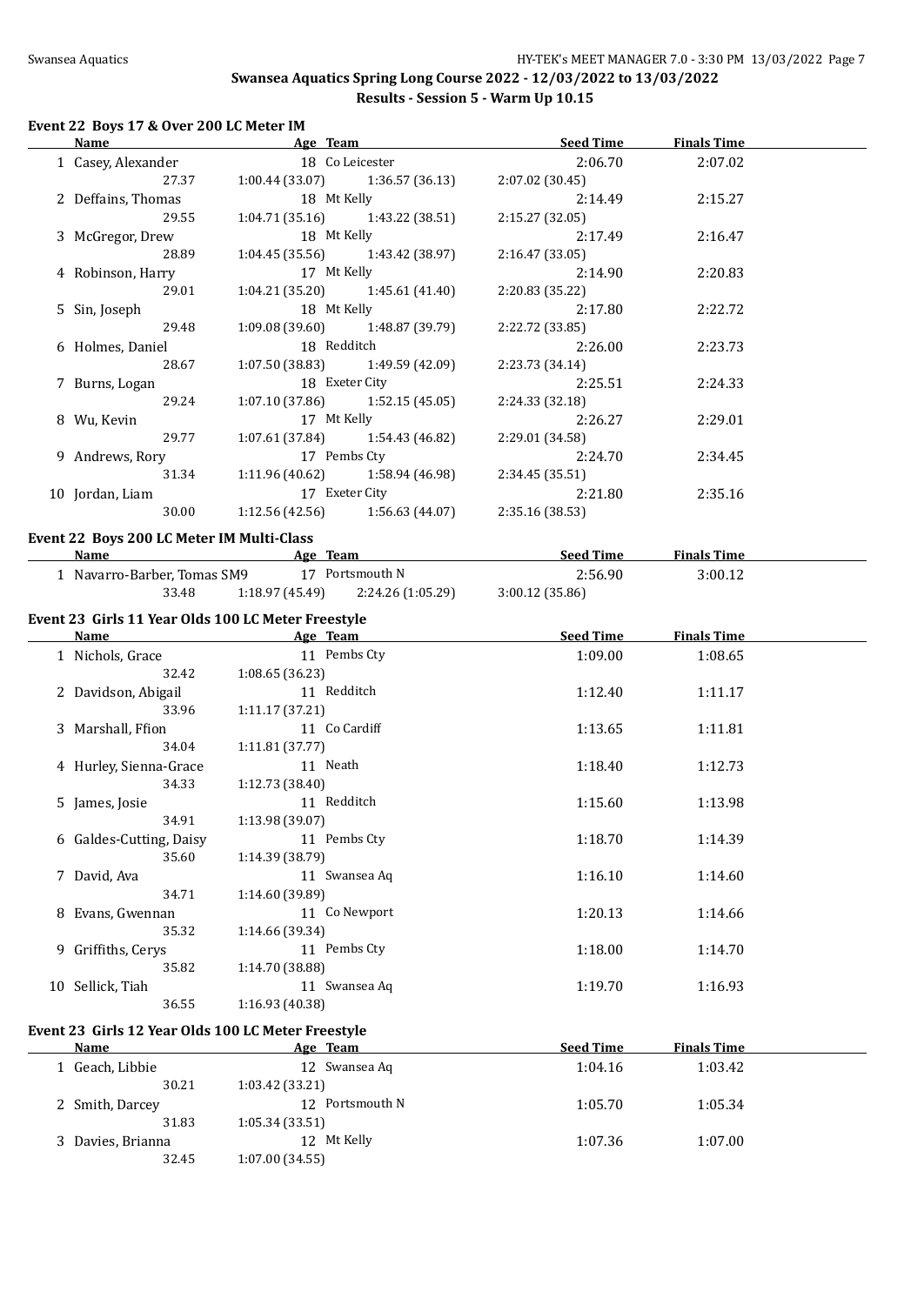#### **Event 22 Boys 17 & Over 200 LC Meter IM**

| <b>Name</b>        |                                       | Age Team and the contract of the contract of the contract of the contract of the contract of the contract of the contract of the contract of the contract of the contract of the contract of the contract of the contract of t | <b>Seed Time</b>                                        | <b>Finals Time</b> |  |
|--------------------|---------------------------------------|--------------------------------------------------------------------------------------------------------------------------------------------------------------------------------------------------------------------------------|---------------------------------------------------------|--------------------|--|
|                    |                                       |                                                                                                                                                                                                                                | 1 Casey, Alexander 18 Colleicester 19 Collecter 2:06.70 | 2:07.02            |  |
| 27.37              |                                       | $1:00.44(33.07)$ $1:36.57(36.13)$                                                                                                                                                                                              | 2:07.02 (30.45)                                         |                    |  |
| 2 Deffains, Thomas |                                       | 18 Mt Kelly                                                                                                                                                                                                                    | 2:14.49                                                 | 2:15.27            |  |
| 29.55              |                                       | $1:04.71(35.16)$ $1:43.22(38.51)$                                                                                                                                                                                              | 2:15.27 (32.05)                                         |                    |  |
| 3 McGregor, Drew   | 18 Mt Kelly                           |                                                                                                                                                                                                                                | 2:17.49                                                 | 2:16.47            |  |
| 28.89              |                                       | $1:04.45(35.56)$ $1:43.42(38.97)$                                                                                                                                                                                              | 2:16.47 (33.05)                                         |                    |  |
| 4 Robinson, Harry  | 17 Mt Kelly                           |                                                                                                                                                                                                                                | 2:14.90                                                 | 2:20.83            |  |
| 29.01              |                                       | $1:04.21(35.20)$ $1:45.61(41.40)$                                                                                                                                                                                              | 2:20.83 (35.22)                                         |                    |  |
| 5 Sin, Joseph      |                                       | 18 Mt Kelly                                                                                                                                                                                                                    | 2:17.80                                                 | 2:22.72            |  |
| 29.48              |                                       | $1:09.08(39.60)$ $1:48.87(39.79)$                                                                                                                                                                                              | 2:22.72 (33.85)                                         |                    |  |
| 6 Holmes, Daniel   |                                       | 18 Redditch                                                                                                                                                                                                                    | 2:26.00                                                 | 2:23.73            |  |
| 28.67              |                                       | $1:07.50(38.83)$ $1:49.59(42.09)$                                                                                                                                                                                              | 2:23.73 (34.14)                                         |                    |  |
| 7 Burns, Logan     |                                       | 18 Exeter City                                                                                                                                                                                                                 | 2:25.51                                                 | 2:24.33            |  |
|                    | 29.24 1:07.10 (37.86) 1:52.15 (45.05) |                                                                                                                                                                                                                                | 2:24.33 (32.18)                                         |                    |  |
| 8 Wu, Kevin        | 17 Mt Kelly                           |                                                                                                                                                                                                                                | 2:26.27                                                 | 2:29.01            |  |
| 29.77              |                                       | $1:07.61(37.84)$ $1:54.43(46.82)$                                                                                                                                                                                              | 2:29.01 (34.58)                                         |                    |  |
| 9 Andrews, Rory    |                                       | 17 Pembs Cty                                                                                                                                                                                                                   | 2:24.70                                                 | 2:34.45            |  |
| 31.34              |                                       | $1:11.96(40.62)$ $1:58.94(46.98)$                                                                                                                                                                                              | 2:34.45 (35.51)                                         |                    |  |
| 10 Jordan, Liam    |                                       | 17 Exeter City                                                                                                                                                                                                                 | 2:21.80                                                 | 2:35.16            |  |
| 30.00              |                                       | $1:12.56(42.56)$ $1:56.63(44.07)$ $2:35.16(38.53)$                                                                                                                                                                             |                                                         |                    |  |
|                    |                                       |                                                                                                                                                                                                                                |                                                         |                    |  |

#### **Event 22 Boys 200 LC Meter IM Multi-Class**

| Name                           | Age Team       |                   | <b>Seed Time</b> | <b>Finals Time</b> |  |
|--------------------------------|----------------|-------------------|------------------|--------------------|--|
| l    Navarro-Barber, Tomas SM9 |                | 17 Portsmouth N   | 2:56.90          | 3:00.12            |  |
| 33.48                          | 1:18.97(45.49) | 2:24.26 (1:05.29) | 3:00.12(35.86)   |                    |  |

## **Event 23 Girls 11 Year Olds 100 LC Meter Freestyle**

| Name             |                         | Age Team        | <b>Seed Time</b> | <b>Finals Time</b> |  |
|------------------|-------------------------|-----------------|------------------|--------------------|--|
|                  | 1 Nichols, Grace        | 11 Pembs Cty    | 1:09.00          | 1:08.65            |  |
|                  | 32.42                   | 1:08.65(36.23)  |                  |                    |  |
|                  | 2 Davidson, Abigail     | 11 Redditch     | 1:12.40          | 1:11.17            |  |
|                  | 33.96                   | 1:11.17(37.21)  |                  |                    |  |
|                  | 3 Marshall, Ffion       | 11 Co Cardiff   | 1:13.65          | 1:11.81            |  |
|                  | 34.04                   | 1:11.81(37.77)  |                  |                    |  |
|                  | 4 Hurley, Sienna-Grace  | 11 Neath        | 1:18.40          | 1:12.73            |  |
|                  | 34.33                   | 1:12.73(38.40)  |                  |                    |  |
| 5 James, Josie   |                         | 11 Redditch     | 1:15.60          | 1:13.98            |  |
|                  | 34.91                   | 1:13.98(39.07)  |                  |                    |  |
|                  | 6 Galdes-Cutting, Daisy | 11 Pembs Cty    | 1:18.70          | 1:14.39            |  |
|                  | 35.60                   | 1:14.39(38.79)  |                  |                    |  |
| 7 David, Ava     |                         | 11 Swansea Aq   | 1:16.10          | 1:14.60            |  |
|                  | 34.71                   | 1:14.60(39.89)  |                  |                    |  |
|                  | 8 Evans, Gwennan        | 11 Co Newport   | 1:20.13          | 1:14.66            |  |
|                  | 35.32                   | 1:14.66 (39.34) |                  |                    |  |
|                  | 9 Griffiths, Cerys      | 11 Pembs Cty    | 1:18.00          | 1:14.70            |  |
|                  | 35.82                   | 1:14.70(38.88)  |                  |                    |  |
| 10 Sellick, Tiah |                         | 11 Swansea Aq   | 1:19.70          | 1:16.93            |  |
|                  | 36.55                   | 1:16.93 (40.38) |                  |                    |  |

# **Event 23 Girls 12 Year Olds 100 LC Meter Freestyle**

| <b>Name</b>     | Age Team        | <b>Seed Time</b> | <b>Finals Time</b> |  |
|-----------------|-----------------|------------------|--------------------|--|
| Geach, Libbie   | 12 Swansea Aq   | 1:04.16          | 1:03.42            |  |
| 30.21           | 1:03.42(33.21)  |                  |                    |  |
| 2 Smith, Darcey | 12 Portsmouth N | 1:05.70          | 1:05.34            |  |
| 31.83           | 1:05.34(33.51)  |                  |                    |  |
| Davies, Brianna | 12 Mt Kelly     | 1:07.36          | 1:07.00            |  |
| 32.45           | 1:07.00(34.55)  |                  |                    |  |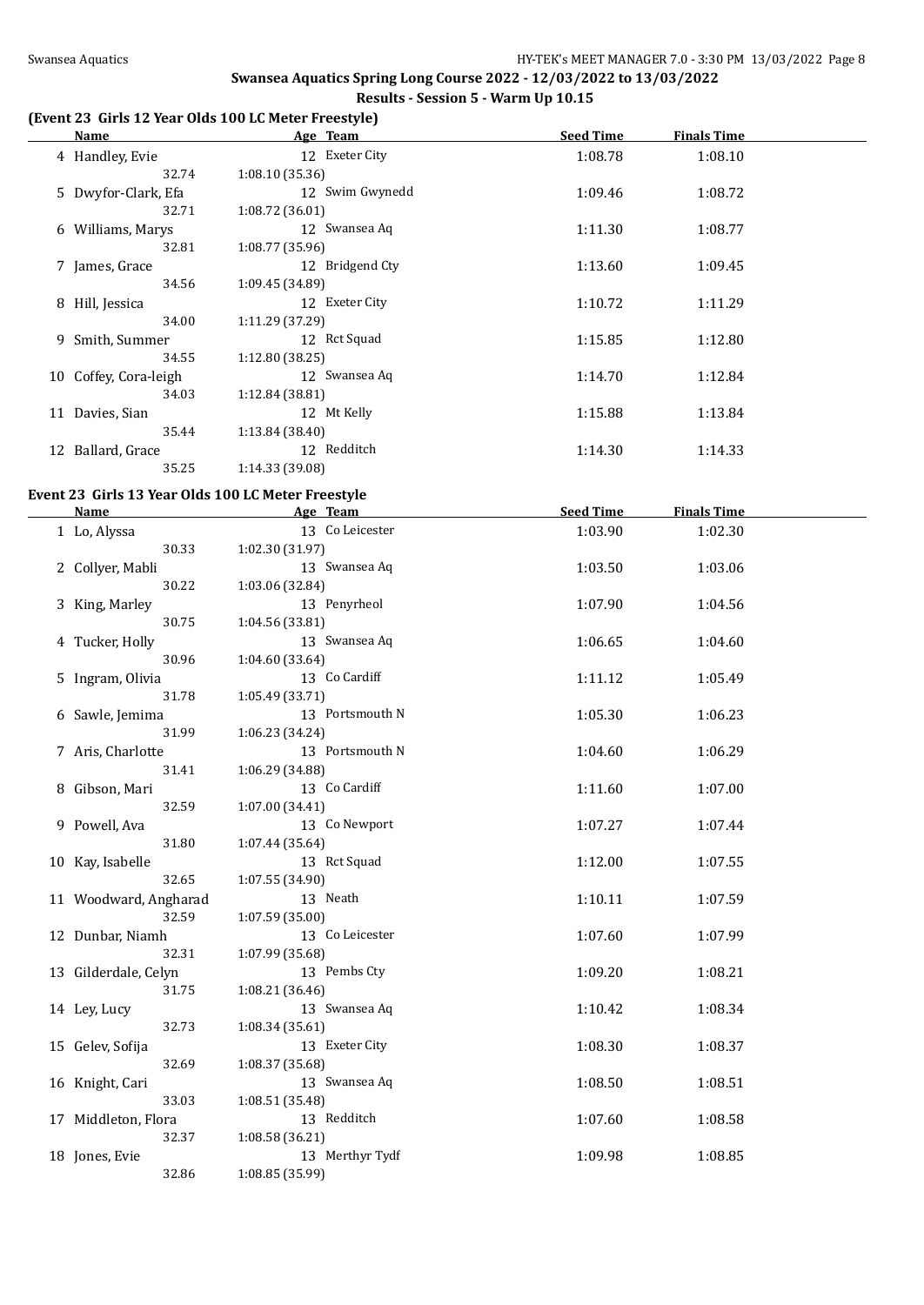# **(Event 23 Girls 12 Year Olds 100 LC Meter Freestyle)**

| Name                  | Age Team        | <b>Seed Time</b> | <b>Finals Time</b> |  |
|-----------------------|-----------------|------------------|--------------------|--|
| 4 Handley, Evie       | 12 Exeter City  | 1:08.78          | 1:08.10            |  |
| 32.74                 | 1:08.10(35.36)  |                  |                    |  |
| 5 Dwyfor-Clark, Efa   | 12 Swim Gwynedd | 1:09.46          | 1:08.72            |  |
| 32.71                 | 1:08.72(36.01)  |                  |                    |  |
| 6 Williams, Marys     | 12 Swansea Aq   | 1:11.30          | 1:08.77            |  |
| 32.81                 | 1:08.77(35.96)  |                  |                    |  |
| 7 James, Grace        | 12 Bridgend Cty | 1:13.60          | 1:09.45            |  |
| 34.56                 | 1:09.45(34.89)  |                  |                    |  |
| 8 Hill, Jessica       | 12 Exeter City  | 1:10.72          | 1:11.29            |  |
| 34.00                 | 1:11.29 (37.29) |                  |                    |  |
| 9 Smith, Summer       | 12 Rct Squad    | 1:15.85          | 1:12.80            |  |
| 34.55                 | 1:12.80(38.25)  |                  |                    |  |
| 10 Coffey, Cora-leigh | 12 Swansea Aq   | 1:14.70          | 1:12.84            |  |
| 34.03                 | 1:12.84(38.81)  |                  |                    |  |
| 11 Davies, Sian       | 12 Mt Kelly     | 1:15.88          | 1:13.84            |  |
| 35.44                 | 1:13.84(38.40)  |                  |                    |  |
| 12 Ballard, Grace     | 12 Redditch     | 1:14.30          | 1:14.33            |  |
| 35.25                 | 1:14.33 (39.08) |                  |                    |  |

# **Event 23 Girls 13 Year Olds 100 LC Meter Freestyle**

| Name                  | Age Team        | <b>Seed Time</b> | <b>Finals Time</b> |  |
|-----------------------|-----------------|------------------|--------------------|--|
| 1 Lo, Alyssa          | 13 Co Leicester | 1:03.90          | 1:02.30            |  |
| 30.33                 | 1:02.30 (31.97) |                  |                    |  |
| 2 Collyer, Mabli      | 13 Swansea Aq   | 1:03.50          | 1:03.06            |  |
| 30.22                 | 1:03.06 (32.84) |                  |                    |  |
| 3 King, Marley        | 13 Penyrheol    | 1:07.90          | 1:04.56            |  |
| 30.75                 | 1:04.56 (33.81) |                  |                    |  |
| 4 Tucker, Holly       | 13 Swansea Aq   | 1:06.65          | 1:04.60            |  |
| 30.96                 | 1:04.60 (33.64) |                  |                    |  |
| 5 Ingram, Olivia      | 13 Co Cardiff   | 1:11.12          | 1:05.49            |  |
| 31.78                 | 1:05.49 (33.71) |                  |                    |  |
| 6 Sawle, Jemima       | 13 Portsmouth N | 1:05.30          | 1:06.23            |  |
| 31.99                 | 1:06.23(34.24)  |                  |                    |  |
| 7 Aris, Charlotte     | 13 Portsmouth N | 1:04.60          | 1:06.29            |  |
| 31.41                 | 1:06.29 (34.88) |                  |                    |  |
| 8 Gibson, Mari        | 13 Co Cardiff   | 1:11.60          | 1:07.00            |  |
| 32.59                 | 1:07.00 (34.41) |                  |                    |  |
| 9 Powell, Ava         | 13 Co Newport   | 1:07.27          | 1:07.44            |  |
| 31.80                 | 1:07.44(35.64)  |                  |                    |  |
| 10 Kay, Isabelle      | 13 Rct Squad    | 1:12.00          | 1:07.55            |  |
| 32.65                 | 1:07.55 (34.90) |                  |                    |  |
| 11 Woodward, Angharad | 13 Neath        | 1:10.11          | 1:07.59            |  |
| 32.59                 | 1:07.59(35.00)  |                  |                    |  |
| 12 Dunbar, Niamh      | 13 Co Leicester | 1:07.60          | 1:07.99            |  |
| 32.31                 | 1:07.99 (35.68) |                  |                    |  |
| 13 Gilderdale, Celyn  | 13 Pembs Cty    | 1:09.20          | 1:08.21            |  |
| 31.75                 | 1:08.21 (36.46) |                  |                    |  |
| 14 Ley, Lucy          | 13 Swansea Aq   | 1:10.42          | 1:08.34            |  |
| 32.73                 | 1:08.34(35.61)  |                  |                    |  |
| 15 Gelev, Sofija      | 13 Exeter City  | 1:08.30          | 1:08.37            |  |
| 32.69                 | 1:08.37 (35.68) |                  |                    |  |
| 16 Knight, Cari       | 13 Swansea Aq   | 1:08.50          | 1:08.51            |  |
| 33.03                 | 1:08.51 (35.48) |                  |                    |  |
| 17 Middleton, Flora   | 13 Redditch     | 1:07.60          | 1:08.58            |  |
| 32.37                 | 1:08.58 (36.21) |                  |                    |  |
| 18 Jones, Evie        | 13 Merthyr Tydf | 1:09.98          | 1:08.85            |  |
| 32.86                 | 1:08.85 (35.99) |                  |                    |  |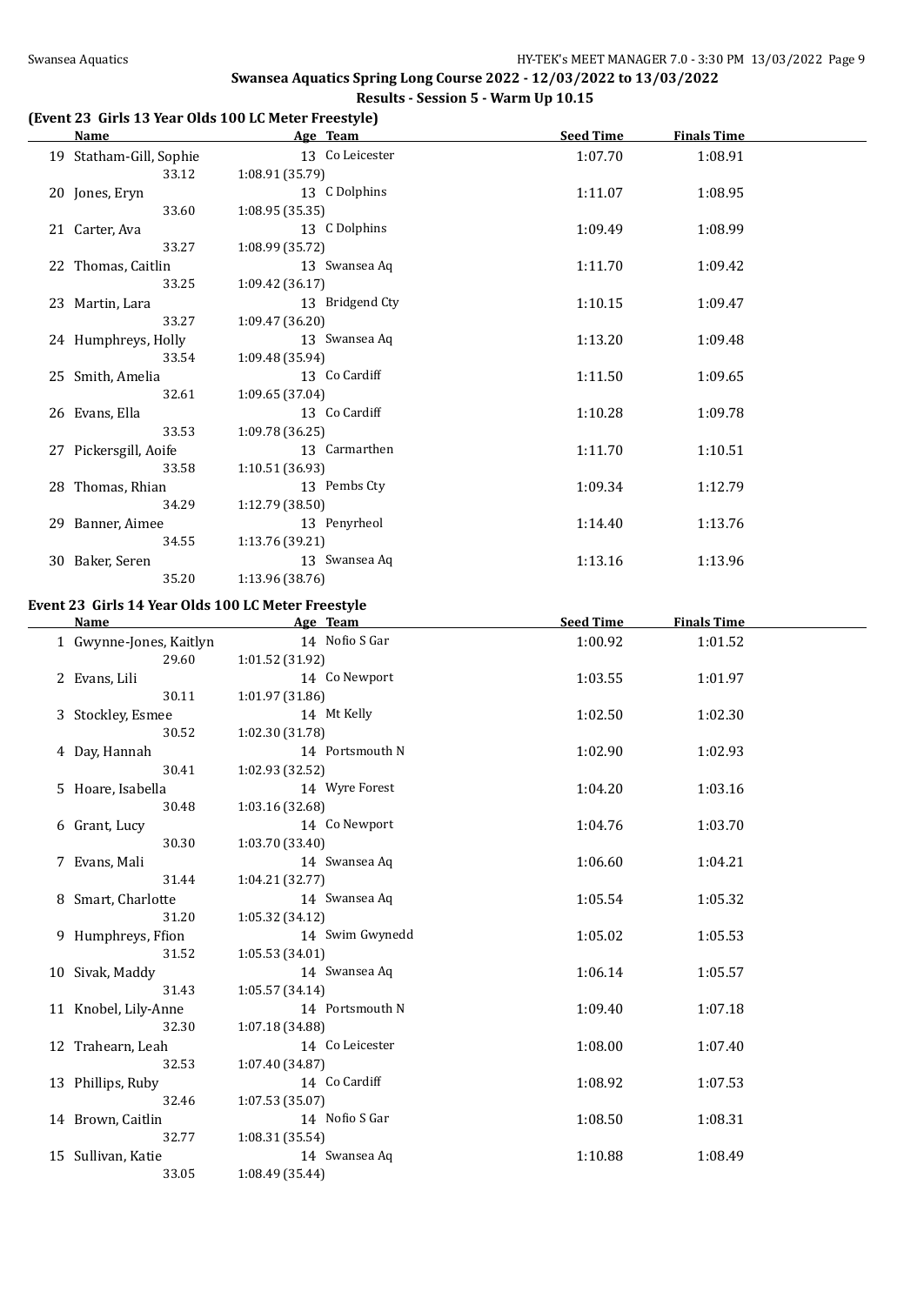# **(Event 23 Girls 13 Year Olds 100 LC Meter Freestyle)**

| <b>Name</b>                                        | Age Team        | <b>Seed Time</b> | <b>Finals Time</b> |  |
|----------------------------------------------------|-----------------|------------------|--------------------|--|
| 19 Statham-Gill, Sophie                            | 13 Co Leicester | 1:07.70          | 1:08.91            |  |
| 33.12                                              | 1:08.91 (35.79) |                  |                    |  |
| 20 Jones, Eryn                                     | 13 C Dolphins   | 1:11.07          | 1:08.95            |  |
| 33.60                                              | 1:08.95(35.35)  |                  |                    |  |
| 21 Carter, Ava                                     | 13 C Dolphins   | 1:09.49          | 1:08.99            |  |
| 33.27                                              | 1:08.99 (35.72) |                  |                    |  |
| 22 Thomas, Caitlin                                 | 13 Swansea Aq   | 1:11.70          | 1:09.42            |  |
| 33.25                                              | 1:09.42 (36.17) |                  |                    |  |
| 23 Martin, Lara                                    | 13 Bridgend Cty | 1:10.15          | 1:09.47            |  |
| 33.27                                              | 1:09.47 (36.20) |                  |                    |  |
| 24 Humphreys, Holly                                | 13 Swansea Aq   | 1:13.20          | 1:09.48            |  |
| 33.54                                              | 1:09.48 (35.94) |                  |                    |  |
| 25 Smith, Amelia                                   | 13 Co Cardiff   | 1:11.50          | 1:09.65            |  |
| 32.61                                              | 1:09.65 (37.04) |                  |                    |  |
| 26 Evans, Ella                                     | 13 Co Cardiff   | 1:10.28          | 1:09.78            |  |
| 33.53                                              | 1:09.78 (36.25) |                  |                    |  |
| 27 Pickersgill, Aoife                              | 13 Carmarthen   | 1:11.70          | 1:10.51            |  |
| 33.58                                              | 1:10.51 (36.93) |                  |                    |  |
| 28 Thomas, Rhian                                   | 13 Pembs Cty    | 1:09.34          | 1:12.79            |  |
| 34.29                                              | 1:12.79 (38.50) |                  |                    |  |
| 29 Banner, Aimee                                   | 13 Penyrheol    | 1:14.40          | 1:13.76            |  |
| 34.55                                              | 1:13.76 (39.21) |                  |                    |  |
| 30 Baker, Seren                                    | 13 Swansea Aq   | 1:13.16          | 1:13.96            |  |
| 35.20                                              | 1:13.96 (38.76) |                  |                    |  |
| Event 23 Girls 14 Year Olds 100 LC Meter Freestyle |                 |                  |                    |  |
| Name                                               | Age Team        | <b>Seed Time</b> | <b>Finals Time</b> |  |
| 1 Gwynne-Jones, Kaitlyn                            | 14 Nofio S Gar  | 1:00.92          | 1:01.52            |  |
| 29.60                                              | 1:01.52 (31.92) |                  |                    |  |
| 2 Evans, Lili                                      | 14 Co Newport   | 1:03.55          | 1:01.97            |  |
| 30.11                                              | 1:01.97 (31.86) |                  |                    |  |
| 3 Stockley, Esmee                                  | 14 Mt Kelly     | 1:02.50          | 1:02.30            |  |

| 3 Stockley, Esmee    |                 | 14 Mt Kelly     | 1:02.50 | 1:02.30 |
|----------------------|-----------------|-----------------|---------|---------|
| 30.52                | 1:02.30 (31.78) |                 |         |         |
| 4 Day, Hannah        |                 | 14 Portsmouth N | 1:02.90 | 1:02.93 |
| 30.41                | 1:02.93 (32.52) |                 |         |         |
| 5 Hoare, Isabella    |                 | 14 Wyre Forest  | 1:04.20 | 1:03.16 |
| 30.48                | 1:03.16(32.68)  |                 |         |         |
| 6 Grant, Lucy        |                 | 14 Co Newport   | 1:04.76 | 1:03.70 |
| 30.30                | 1:03.70 (33.40) |                 |         |         |
| 7 Evans, Mali        |                 | 14 Swansea Aq   | 1:06.60 | 1:04.21 |
| 31.44                | 1:04.21(32.77)  |                 |         |         |
| 8 Smart, Charlotte   |                 | 14 Swansea Aq   | 1:05.54 | 1:05.32 |
| 31.20                | 1:05.32 (34.12) |                 |         |         |
| 9 Humphreys, Ffion   |                 | 14 Swim Gwynedd | 1:05.02 | 1:05.53 |
| 31.52                | 1:05.53(34.01)  |                 |         |         |
| 10 Sivak, Maddy      |                 | 14 Swansea Aq   | 1:06.14 | 1:05.57 |
| 31.43                | 1:05.57(34.14)  |                 |         |         |
| 11 Knobel, Lily-Anne |                 | 14 Portsmouth N | 1:09.40 | 1:07.18 |
| 32.30                | 1:07.18 (34.88) |                 |         |         |
| 12 Trahearn, Leah    |                 | 14 Co Leicester | 1:08.00 | 1:07.40 |
| 32.53                | 1:07.40 (34.87) |                 |         |         |
| 13 Phillips, Ruby    |                 | 14 Co Cardiff   | 1:08.92 | 1:07.53 |
| 32.46                | 1:07.53(35.07)  |                 |         |         |
| 14 Brown, Caitlin    |                 | 14 Nofio S Gar  | 1:08.50 | 1:08.31 |
| 32.77                | 1:08.31 (35.54) |                 |         |         |
| 15 Sullivan, Katie   |                 | 14 Swansea Aq   | 1:10.88 | 1:08.49 |
| 33.05                | 1:08.49 (35.44) |                 |         |         |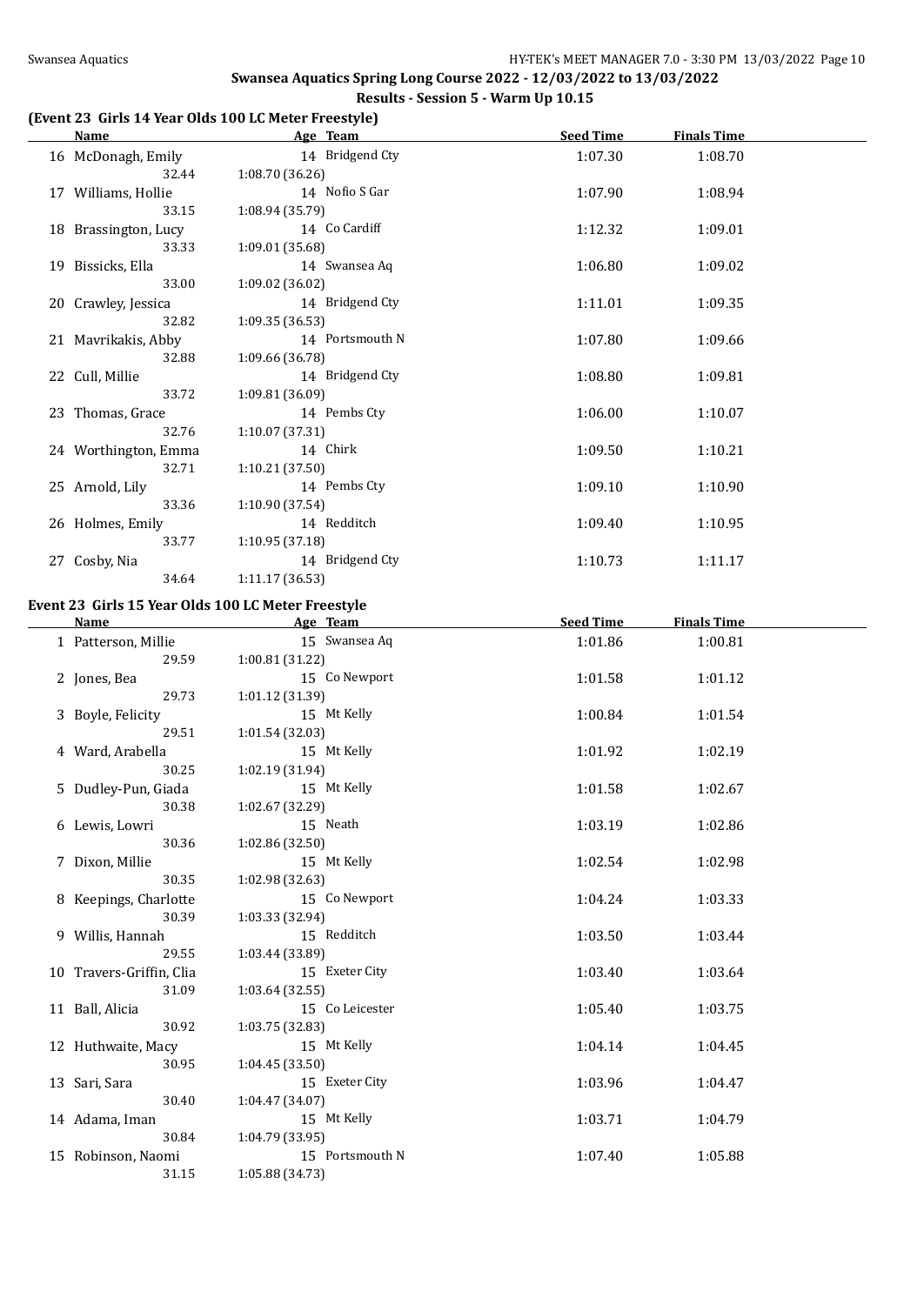# **(Event 23 Girls 14 Year Olds 100 LC Meter Freestyle)**

| Name                 | Age Team        | <b>Seed Time</b> | <b>Finals Time</b> |  |
|----------------------|-----------------|------------------|--------------------|--|
| 16 McDonagh, Emily   | 14 Bridgend Cty | 1:07.30          | 1:08.70            |  |
| 32.44                | 1:08.70(36.26)  |                  |                    |  |
| 17 Williams, Hollie  | 14 Nofio S Gar  | 1:07.90          | 1:08.94            |  |
| 33.15                | 1:08.94 (35.79) |                  |                    |  |
| 18 Brassington, Lucy | 14 Co Cardiff   | 1:12.32          | 1:09.01            |  |
| 33.33                | 1:09.01 (35.68) |                  |                    |  |
| 19 Bissicks, Ella    | 14 Swansea Aq   | 1:06.80          | 1:09.02            |  |
| 33.00                | 1:09.02 (36.02) |                  |                    |  |
| 20 Crawley, Jessica  | 14 Bridgend Cty | 1:11.01          | 1:09.35            |  |
| 32.82                | 1:09.35(36.53)  |                  |                    |  |
| 21 Mavrikakis, Abby  | 14 Portsmouth N | 1:07.80          | 1:09.66            |  |
| 32.88                | 1:09.66(36.78)  |                  |                    |  |
| 22 Cull, Millie      | 14 Bridgend Cty | 1:08.80          | 1:09.81            |  |
| 33.72                | 1:09.81 (36.09) |                  |                    |  |
| 23 Thomas, Grace     | 14 Pembs Cty    | 1:06.00          | 1:10.07            |  |
| 32.76                | 1:10.07 (37.31) |                  |                    |  |
| 24 Worthington, Emma | 14 Chirk        | 1:09.50          | 1:10.21            |  |
| 32.71                | 1:10.21(37.50)  |                  |                    |  |
| 25 Arnold, Lily      | 14 Pembs Cty    | 1:09.10          | 1:10.90            |  |
| 33.36                | 1:10.90 (37.54) |                  |                    |  |
| 26 Holmes, Emily     | 14 Redditch     | 1:09.40          | 1:10.95            |  |
| 33.77                | 1:10.95(37.18)  |                  |                    |  |
| 27 Cosby, Nia        | 14 Bridgend Cty | 1:10.73          | 1:11.17            |  |
| 34.64                | 1:11.17 (36.53) |                  |                    |  |

#### **Event 23 Girls 15 Year Olds 100 LC Meter Freestyle**

| <b>Name</b>              | Age Team        | <b>Seed Time</b> | <b>Finals Time</b> |  |
|--------------------------|-----------------|------------------|--------------------|--|
| 1 Patterson, Millie      | 15 Swansea Aq   | 1:01.86          | 1:00.81            |  |
| 29.59                    | 1:00.81(31.22)  |                  |                    |  |
| 2 Jones, Bea             | 15 Co Newport   | 1:01.58          | 1:01.12            |  |
| 29.73                    | 1:01.12 (31.39) |                  |                    |  |
| 3 Boyle, Felicity        | 15 Mt Kelly     | 1:00.84          | 1:01.54            |  |
| 29.51                    | 1:01.54 (32.03) |                  |                    |  |
| 4 Ward, Arabella         | 15 Mt Kelly     | 1:01.92          | 1:02.19            |  |
| 30.25                    | 1:02.19 (31.94) |                  |                    |  |
| 5 Dudley-Pun, Giada      | 15 Mt Kelly     | 1:01.58          | 1:02.67            |  |
| 30.38                    | 1:02.67(32.29)  |                  |                    |  |
| 6 Lewis, Lowri           | 15 Neath        | 1:03.19          | 1:02.86            |  |
| 30.36                    | 1:02.86 (32.50) |                  |                    |  |
| 7 Dixon, Millie          | 15 Mt Kelly     | 1:02.54          | 1:02.98            |  |
| 30.35                    | 1:02.98 (32.63) |                  |                    |  |
| 8 Keepings, Charlotte    | 15 Co Newport   | 1:04.24          | 1:03.33            |  |
| 30.39                    | 1:03.33 (32.94) |                  |                    |  |
| 9 Willis, Hannah         | 15 Redditch     | 1:03.50          | 1:03.44            |  |
| 29.55                    | 1:03.44 (33.89) |                  |                    |  |
| 10 Travers-Griffin, Clia | 15 Exeter City  | 1:03.40          | 1:03.64            |  |
| 31.09                    | 1:03.64(32.55)  |                  |                    |  |
| 11 Ball, Alicia          | 15 Co Leicester | 1:05.40          | 1:03.75            |  |
| 30.92                    | 1:03.75 (32.83) |                  |                    |  |
| 12 Huthwaite, Macy       | 15 Mt Kelly     | 1:04.14          | 1:04.45            |  |
| 30.95                    | 1:04.45(33.50)  |                  |                    |  |
| 13 Sari, Sara            | 15 Exeter City  | 1:03.96          | 1:04.47            |  |
| 30.40                    | 1:04.47 (34.07) |                  |                    |  |
| 14 Adama, Iman           | 15 Mt Kelly     | 1:03.71          | 1:04.79            |  |
| 30.84                    | 1:04.79 (33.95) |                  |                    |  |
| 15 Robinson, Naomi       | 15 Portsmouth N | 1:07.40          | 1:05.88            |  |
| 31.15                    | 1:05.88 (34.73) |                  |                    |  |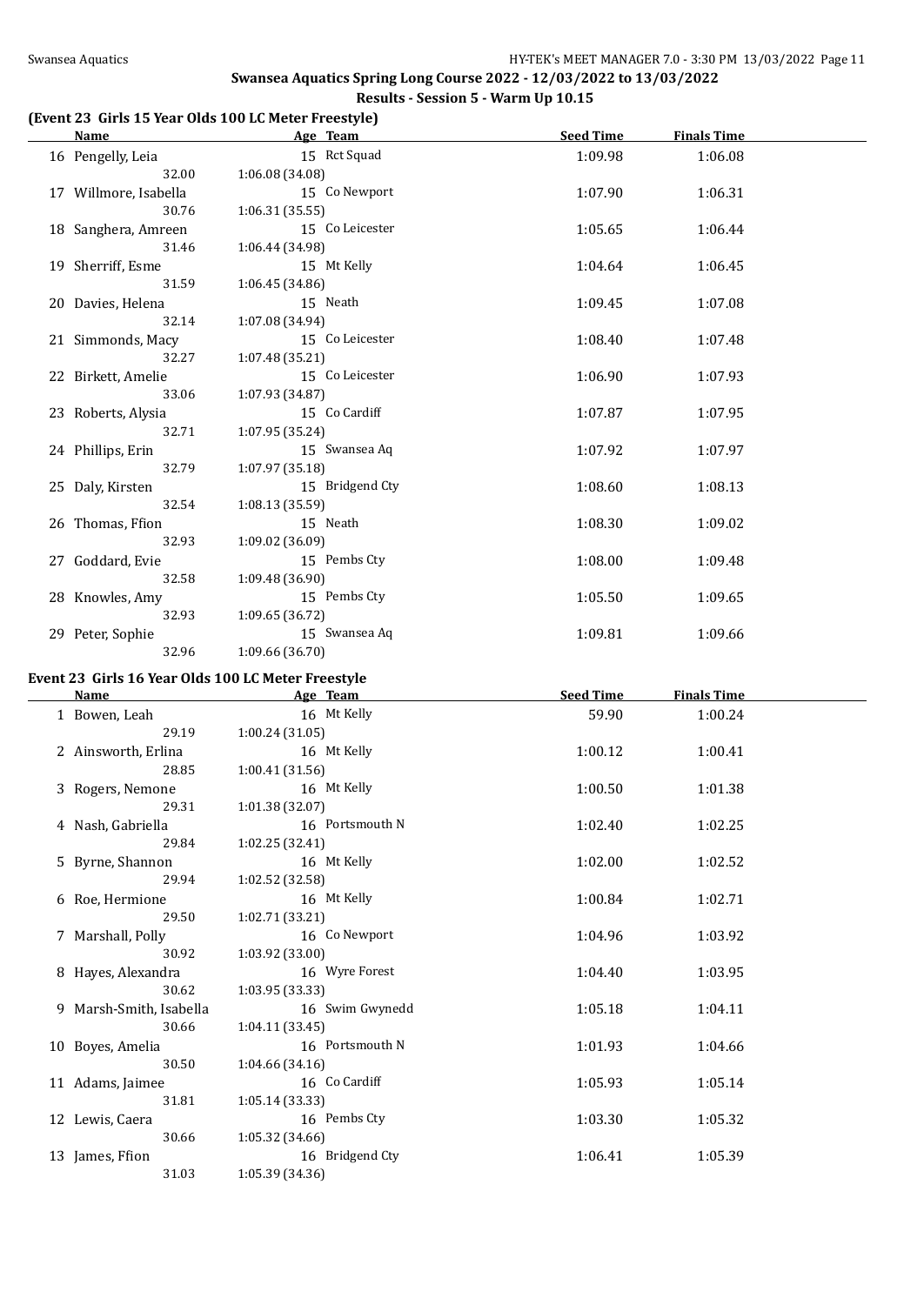# **(Event 23 Girls 15 Year Olds 100 LC Meter Freestyle)**

| Name                  | Age Team        | <b>Seed Time</b> | <b>Finals Time</b> |  |
|-----------------------|-----------------|------------------|--------------------|--|
| 16 Pengelly, Leia     | 15 Rct Squad    | 1:09.98          | 1:06.08            |  |
| 32.00                 | 1:06.08(34.08)  |                  |                    |  |
| 17 Willmore, Isabella | 15 Co Newport   | 1:07.90          | 1:06.31            |  |
| 30.76                 | 1:06.31(35.55)  |                  |                    |  |
| 18 Sanghera, Amreen   | 15 Co Leicester | 1:05.65          | 1:06.44            |  |
| 31.46                 | 1:06.44 (34.98) |                  |                    |  |
| 19 Sherriff, Esme     | 15 Mt Kelly     | 1:04.64          | 1:06.45            |  |
| 31.59                 | 1:06.45(34.86)  |                  |                    |  |
| 20 Davies, Helena     | 15 Neath        | 1:09.45          | 1:07.08            |  |
| 32.14                 | 1:07.08(34.94)  |                  |                    |  |
| 21 Simmonds, Macy     | 15 Co Leicester | 1:08.40          | 1:07.48            |  |
| 32.27                 | 1:07.48(35.21)  |                  |                    |  |
| 22 Birkett, Amelie    | 15 Co Leicester | 1:06.90          | 1:07.93            |  |
| 33.06                 | 1:07.93(34.87)  |                  |                    |  |
| 23 Roberts, Alysia    | 15 Co Cardiff   | 1:07.87          | 1:07.95            |  |
| 32.71                 | 1:07.95(35.24)  |                  |                    |  |
| 24 Phillips, Erin     | 15 Swansea Aq   | 1:07.92          | 1:07.97            |  |
| 32.79                 | 1:07.97 (35.18) |                  |                    |  |
| 25 Daly, Kirsten      | 15 Bridgend Cty | 1:08.60          | 1:08.13            |  |
| 32.54                 | 1:08.13(35.59)  |                  |                    |  |
| 26 Thomas, Ffion      | 15 Neath        | 1:08.30          | 1:09.02            |  |
| 32.93                 | 1:09.02(36.09)  |                  |                    |  |
| 27 Goddard, Evie      | 15 Pembs Cty    | 1:08.00          | 1:09.48            |  |
| 32.58                 | 1:09.48(36.90)  |                  |                    |  |
| 28 Knowles, Amy       | 15 Pembs Cty    | 1:05.50          | 1:09.65            |  |
| 32.93                 | 1:09.65(36.72)  |                  |                    |  |
| 29 Peter, Sophie      | 15 Swansea Aq   | 1:09.81          | 1:09.66            |  |
| 32.96                 | 1:09.66 (36.70) |                  |                    |  |

# **Event 23 Girls 16 Year Olds 100 LC Meter Freestyle**

| Name                    | Age Team        | <b>Seed Time</b> | <b>Finals Time</b> |  |
|-------------------------|-----------------|------------------|--------------------|--|
| 1 Bowen, Leah           | 16 Mt Kelly     | 59.90            | 1:00.24            |  |
| 29.19                   | 1:00.24(31.05)  |                  |                    |  |
| 2 Ainsworth, Erlina     | 16 Mt Kelly     | 1:00.12          | 1:00.41            |  |
| 28.85                   | 1:00.41(31.56)  |                  |                    |  |
| 3 Rogers, Nemone        | 16 Mt Kelly     | 1:00.50          | 1:01.38            |  |
| 29.31                   | 1:01.38 (32.07) |                  |                    |  |
| 4 Nash, Gabriella       | 16 Portsmouth N | 1:02.40          | 1:02.25            |  |
| 29.84                   | 1:02.25(32.41)  |                  |                    |  |
| 5 Byrne, Shannon        | 16 Mt Kelly     | 1:02.00          | 1:02.52            |  |
| 29.94                   | 1:02.52(32.58)  |                  |                    |  |
| 6 Roe, Hermione         | 16 Mt Kelly     | 1:00.84          | 1:02.71            |  |
| 29.50                   | 1:02.71(33.21)  |                  |                    |  |
| 7 Marshall, Polly       | 16 Co Newport   | 1:04.96          | 1:03.92            |  |
| 30.92                   | 1:03.92 (33.00) |                  |                    |  |
| 8 Hayes, Alexandra      | 16 Wyre Forest  | 1:04.40          | 1:03.95            |  |
| 30.62                   | 1:03.95(33.33)  |                  |                    |  |
| 9 Marsh-Smith, Isabella | 16 Swim Gwynedd | 1:05.18          | 1:04.11            |  |
| 30.66                   | 1:04.11(33.45)  |                  |                    |  |
| 10 Boyes, Amelia        | 16 Portsmouth N | 1:01.93          | 1:04.66            |  |
| 30.50                   | 1:04.66(34.16)  |                  |                    |  |
| 11 Adams, Jaimee        | 16 Co Cardiff   | 1:05.93          | 1:05.14            |  |
| 31.81                   | 1:05.14(33.33)  |                  |                    |  |
| 12 Lewis, Caera         | 16 Pembs Cty    | 1:03.30          | 1:05.32            |  |
| 30.66                   | 1:05.32(34.66)  |                  |                    |  |
| 13 James, Ffion         | 16 Bridgend Cty | 1:06.41          | 1:05.39            |  |
| 31.03                   | 1:05.39(34.36)  |                  |                    |  |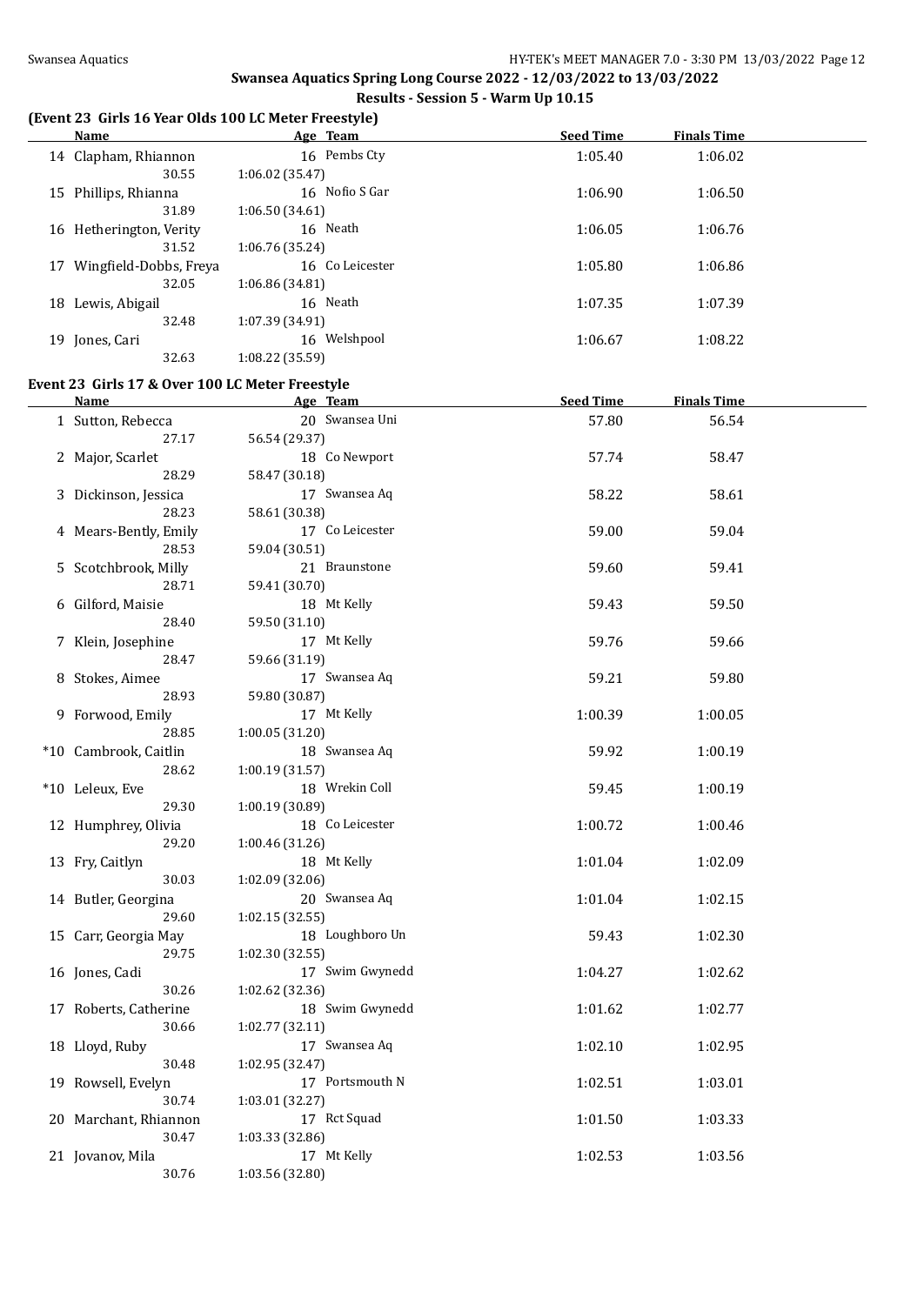#### **(Event 23 Girls 16 Year Olds 100 LC Meter Freestyle)**

| <u>Name</u>                                             | Age Team                        | <b>Seed Time</b> | <b>Finals Time</b> |  |
|---------------------------------------------------------|---------------------------------|------------------|--------------------|--|
| 14 Clapham, Rhiannon                                    | 16 Pembs Cty                    | 1:05.40          | 1:06.02            |  |
| 30.55                                                   | 1:06.02 (35.47)                 |                  |                    |  |
| 15 Phillips, Rhianna                                    | 16 Nofio S Gar                  | 1:06.90          | 1:06.50            |  |
| 31.89                                                   | 1:06.50(34.61)                  |                  |                    |  |
| 16 Hetherington, Verity                                 | 16 Neath                        | 1:06.05          | 1:06.76            |  |
| 31.52                                                   | 1:06.76 (35.24)                 |                  |                    |  |
| 17 Wingfield-Dobbs, Freya                               | 16 Co Leicester                 | 1:05.80          | 1:06.86            |  |
| 32.05                                                   | 1:06.86 (34.81)                 |                  |                    |  |
| 18 Lewis, Abigail                                       | 16 Neath                        | 1:07.35          | 1:07.39            |  |
| 32.48                                                   | 1:07.39 (34.91)                 |                  |                    |  |
| 19 Jones, Cari                                          | 16 Welshpool                    | 1:06.67          | 1:08.22            |  |
| 32.63                                                   | 1:08.22 (35.59)                 |                  |                    |  |
|                                                         |                                 |                  |                    |  |
| Event 23 Girls 17 & Over 100 LC Meter Freestyle<br>Name | Age Team                        | <b>Seed Time</b> | <b>Finals Time</b> |  |
| 1 Sutton, Rebecca                                       | 20 Swansea Uni                  | 57.80            | 56.54              |  |
| 27.17                                                   | 56.54 (29.37)                   |                  |                    |  |
| 2 Major, Scarlet                                        | 18 Co Newport                   | 57.74            | 58.47              |  |
| 28.29                                                   | 58.47 (30.18)                   |                  |                    |  |
| 3 Dickinson, Jessica                                    | 17 Swansea Aq                   | 58.22            | 58.61              |  |
| 28.23                                                   | 58.61 (30.38)                   |                  |                    |  |
| 4 Mears-Bently, Emily                                   | 17 Co Leicester                 | 59.00            | 59.04              |  |
| 28.53                                                   | 59.04 (30.51)                   |                  |                    |  |
| 5 Scotchbrook, Milly                                    | 21 Braunstone                   | 59.60            | 59.41              |  |
| 28.71                                                   | 59.41 (30.70)                   |                  |                    |  |
| 6 Gilford, Maisie                                       | 18 Mt Kelly                     | 59.43            | 59.50              |  |
| 28.40                                                   | 59.50 (31.10)                   |                  |                    |  |
| 7 Klein, Josephine                                      | 17 Mt Kelly                     | 59.76            | 59.66              |  |
| 28.47                                                   | 59.66 (31.19)                   |                  |                    |  |
| 8 Stokes, Aimee                                         | 17 Swansea Aq                   | 59.21            | 59.80              |  |
| 28.93                                                   | 59.80 (30.87)                   |                  |                    |  |
| 9 Forwood, Emily                                        | 17 Mt Kelly                     | 1:00.39          | 1:00.05            |  |
| 28.85                                                   | 1:00.05 (31.20)                 |                  |                    |  |
| *10 Cambrook, Caitlin                                   | 18 Swansea Aq                   | 59.92            | 1:00.19            |  |
| 28.62                                                   | 1:00.19(31.57)                  |                  |                    |  |
| *10 Leleux, Eve                                         | 18 Wrekin Coll                  | 59.45            | 1:00.19            |  |
| 29.30                                                   | 1:00.19 (30.89)                 |                  |                    |  |
| 12 Humphrey, Olivia                                     | 18 Co Leicester                 | 1:00.72          | 1:00.46            |  |
| 29.20                                                   | 1:00.46(31.26)                  |                  |                    |  |
| 13 Fry, Caitlyn                                         | 18 Mt Kelly                     | 1:01.04          | 1:02.09            |  |
| 30.03                                                   | 1:02.09(32.06)                  |                  |                    |  |
| 14 Butler, Georgina<br>29.60                            | 20 Swansea Aq<br>1:02.15(32.55) | 1:01.04          | 1:02.15            |  |
| 15 Carr, Georgia May                                    | 18 Loughboro Un                 | 59.43            | 1:02.30            |  |
| 29.75                                                   | 1:02.30(32.55)                  |                  |                    |  |
| 16 Jones, Cadi                                          | 17 Swim Gwynedd                 | 1:04.27          | 1:02.62            |  |
| 30.26                                                   | 1:02.62 (32.36)                 |                  |                    |  |
| 17 Roberts, Catherine                                   | 18 Swim Gwynedd                 | 1:01.62          | 1:02.77            |  |
| 30.66                                                   | 1:02.77 (32.11)                 |                  |                    |  |
| 18 Lloyd, Ruby                                          | 17 Swansea Aq                   | 1:02.10          | 1:02.95            |  |
| 30.48                                                   | 1:02.95 (32.47)                 |                  |                    |  |
| 19 Rowsell, Evelyn                                      | 17 Portsmouth N                 | 1:02.51          | 1:03.01            |  |
| 30.74                                                   | 1:03.01 (32.27)                 |                  |                    |  |
| 20 Marchant, Rhiannon                                   | 17 Rct Squad                    | 1:01.50          | 1:03.33            |  |
| 30.47                                                   | 1:03.33 (32.86)                 |                  |                    |  |
| 21 Jovanov, Mila                                        | 17 Mt Kelly                     | 1:02.53          | 1:03.56            |  |
| 30.76                                                   | 1:03.56 (32.80)                 |                  |                    |  |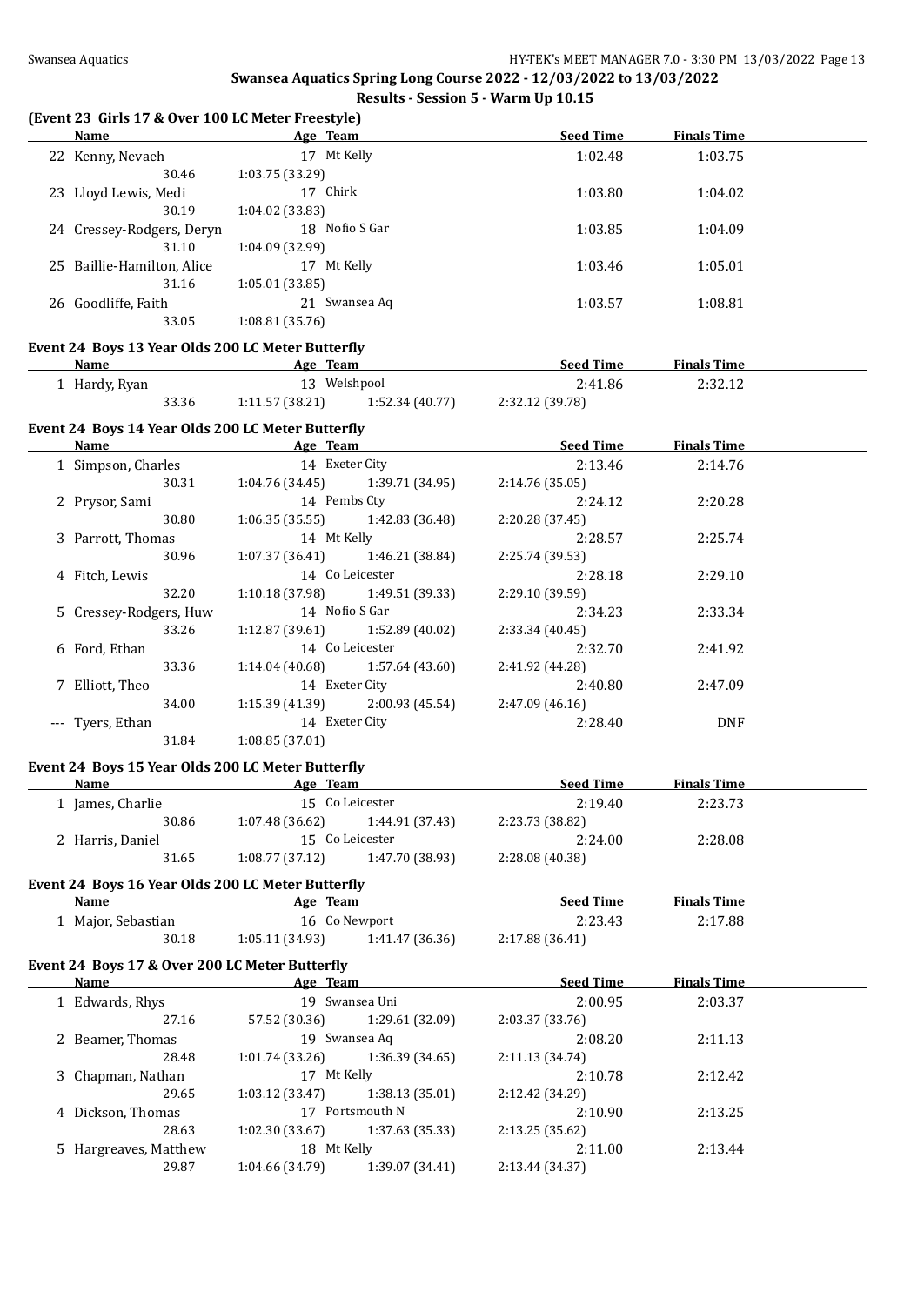#### **(Event 23 Girls 17 & Over 100 LC Meter Freestyle)**

| Name                       | Age Team         | <b>Seed Time</b> | <b>Finals Time</b> |  |
|----------------------------|------------------|------------------|--------------------|--|
| 22 Kenny, Nevaeh           | Mt Kelly<br>17   | 1:02.48          | 1:03.75            |  |
| 30.46                      | 1:03.75(33.29)   |                  |                    |  |
| 23 Lloyd Lewis, Medi       | 17 Chirk         | 1:03.80          | 1:04.02            |  |
| 30.19                      | 1:04.02(33.83)   |                  |                    |  |
| 24 Cressey-Rodgers, Deryn  | 18 Nofio S Gar   | 1:03.85          | 1:04.09            |  |
| 31.10                      | 1:04.09 (32.99)  |                  |                    |  |
| 25 Baillie-Hamilton, Alice | Mt Kelly<br>17   | 1:03.46          | 1:05.01            |  |
| 31.16                      | 1:05.01(33.85)   |                  |                    |  |
| 26 Goodliffe, Faith        | Swansea Ag<br>21 | 1:03.57          | 1:08.81            |  |
| 33.05                      | 1:08.81(35.76)   |                  |                    |  |
|                            |                  |                  |                    |  |

#### **Event 24 Boys 13 Year Olds 200 LC Meter Butterfly**

| Name          |       | Age Team       |                | <b>Seed Time</b> | <b>Finals Time</b> |  |
|---------------|-------|----------------|----------------|------------------|--------------------|--|
| . Hardy, Ryan |       |                | Welshpool      | 2:41.86          | 2:32.12            |  |
|               | 33.36 | 1:11.57(38.21) | 1:52.34(40.77) | 2:32.12 (39.78)  |                    |  |

# **Event 24 Boys 14 Year Olds 200 LC Meter Butterfly**

| Name                   | Age Team                          |                 | <b>Seed Time</b> | <b>Finals Time</b> |  |
|------------------------|-----------------------------------|-----------------|------------------|--------------------|--|
| 1 Simpson, Charles     | 14 Exeter City                    |                 | 2:13.46          | 2:14.76            |  |
| 30.31                  | 1:04.76 (34.45)                   | 1:39.71 (34.95) | 2:14.76 (35.05)  |                    |  |
| 2 Prysor, Sami         | 14 Pembs Ctv                      |                 | 2:24.12          | 2:20.28            |  |
| 30.80                  | 1:06.35(35.55)                    | 1:42.83 (36.48) | 2:20.28(37.45)   |                    |  |
| 3 Parrott, Thomas      | 14 Mt Kelly                       |                 | 2:28.57          | 2:25.74            |  |
| 30.96                  | 1:07.37(36.41)                    | 1:46.21 (38.84) | 2:25.74 (39.53)  |                    |  |
| 4 Fitch, Lewis         |                                   | 14 Co Leicester | 2:28.18          | 2:29.10            |  |
| 32.20                  | 1:10.18 (37.98)                   | 1:49.51 (39.33) | 2:29.10 (39.59)  |                    |  |
| 5 Cressey-Rodgers, Huw | 14 Nofio S Gar                    |                 | 2:34.23          | 2:33.34            |  |
| 33.26                  | $1:12.87(39.61)$ $1:52.89(40.02)$ |                 | 2:33.34(40.45)   |                    |  |
| 6 Ford, Ethan          |                                   | 14 Co Leicester | 2:32.70          | 2:41.92            |  |
| 33.36                  | 1:14.04 (40.68)                   | 1:57.64 (43.60) | 2:41.92 (44.28)  |                    |  |
| 7 Elliott, Theo        | 14 Exeter City                    |                 | 2:40.80          | 2:47.09            |  |
| 34.00                  | 1:15.39 (41.39)                   | 2:00.93 (45.54) | 2:47.09(46.16)   |                    |  |
| --- Tyers, Ethan       | 14 Exeter City                    |                 | 2:28.40          | <b>DNF</b>         |  |
| 31.84                  | 1:08.85(37.01)                    |                 |                  |                    |  |

#### **Event 24 Boys 15 Year Olds 200 LC Meter Butterfly**

| Age Team                          | <b>Seed Time</b> | <b>Finals Time</b> |  |
|-----------------------------------|------------------|--------------------|--|
| 15 Co Leicester                   | 2:19.40          | 2:23.73            |  |
| 1:44.91 (37.43)<br>1:07.48(36.62) | 2:23.73 (38.82)  |                    |  |
| 15 Co Leicester                   | 2:24.00          | 2:28.08            |  |
| 1:47.70 (38.93)<br>1:08.77(37.12) | 2:28.08 (40.38)  |                    |  |
|                                   |                  |                    |  |

#### **Event 24 Boys 16 Year Olds 200 LC Meter Butterfly**

| <b>Name</b>        | Age Team       |                 | <b>Seed Time</b> | <b>Finals Time</b> |  |
|--------------------|----------------|-----------------|------------------|--------------------|--|
| 1 Major, Sebastian |                | 16 Co Newport   | 2:23.43          | 2:17.88            |  |
| 30.18              | 1:05.11(34.93) | 1:41.47 (36.36) | 2:17.88 (36.41)  |                    |  |

## **Event 24 Boys 17 & Over 200 LC Meter Butterfly**

| Name                  | Age Team        |                 | <b>Seed Time</b> | <b>Finals Time</b> |  |
|-----------------------|-----------------|-----------------|------------------|--------------------|--|
| 1 Edwards, Rhys       |                 | 19 Swansea Uni  |                  | 2:03.37            |  |
| 27.16                 | 57.52 (30.36)   | 1:29.61 (32.09) | 2:03.37 (33.76)  |                    |  |
| 2 Beamer, Thomas      |                 | 19 Swansea Ag   | 2:08.20          | 2:11.13            |  |
| 28.48                 | 1:01.74(33.26)  | 1:36.39(34.65)  | 2:11.13 (34.74)  |                    |  |
| 3 Chapman, Nathan     | 17 Mt Kelly     |                 | 2:10.78          | 2:12.42            |  |
| 29.65                 | 1:03.12(33.47)  | 1:38.13(35.01)  | 2:12.42 (34.29)  |                    |  |
| 4 Dickson, Thomas     | 17              | Portsmouth N    | 2:10.90          | 2:13.25            |  |
| 28.63                 | 1:02.30 (33.67) | 1:37.63(35.33)  | 2:13.25 (35.62)  |                    |  |
| 5 Hargreaves, Matthew | 18 Mt Kelly     |                 | 2:11.00          | 2:13.44            |  |
| 29.87                 | 1:04.66 (34.79) | 1:39.07 (34.41) | 2:13.44 (34.37)  |                    |  |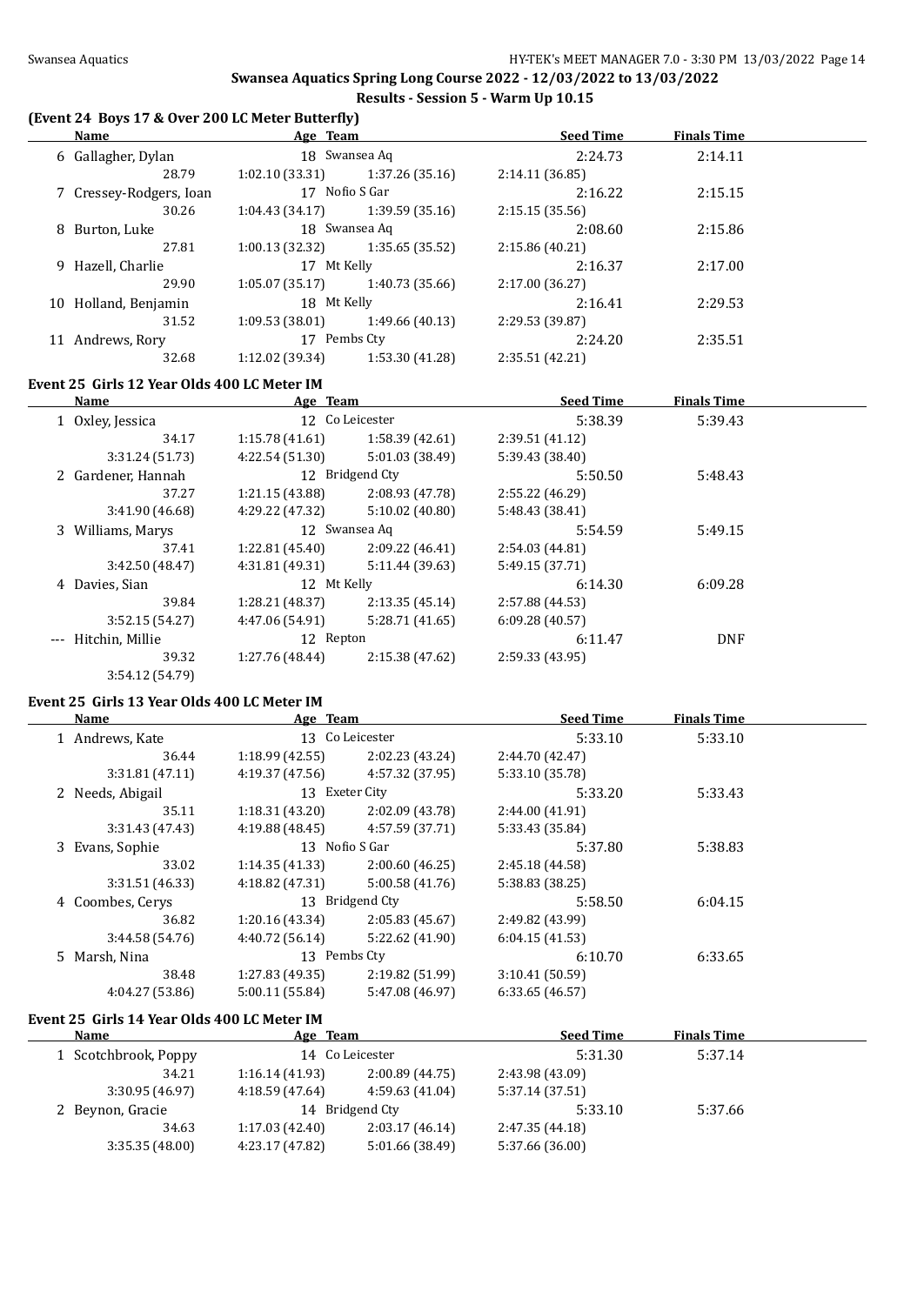$\overline{\phantom{0}}$ 

#### **Swansea Aquatics Spring Long Course 2022 - 12/03/2022 to 13/03/2022 Results - Session 5 - Warm Up 10.15**

#### **(Event 24 Boys 17 & Over 200 LC Meter Butterfly)**

|    | Name                    | Age Team        |                 | <b>Seed Time</b> | <b>Finals Time</b> |  |
|----|-------------------------|-----------------|-----------------|------------------|--------------------|--|
|    | 6 Gallagher, Dylan      |                 | 18 Swansea Aq   | 2:24.73          | 2:14.11            |  |
|    | 28.79                   | 1:02.10(33.31)  | 1:37.26 (35.16) | 2:14.11(36.85)   |                    |  |
|    | 7 Cressey-Rodgers, Ioan | 17 Nofio S Gar  |                 | 2:16.22          | 2:15.15            |  |
|    | 30.26                   | 1:04.43(34.17)  | 1:39.59 (35.16) | 2:15.15(35.56)   |                    |  |
|    | 8 Burton, Luke          |                 | 18 Swansea Aq   | 2:08.60          | 2:15.86            |  |
|    | 27.81                   | 1:00.13(32.32)  | 1:35.65(35.52)  | 2:15.86(40.21)   |                    |  |
|    | 9 Hazell, Charlie       | 17 Mt Kelly     |                 | 2:16.37          | 2:17.00            |  |
|    | 29.90                   | 1:05.07(35.17)  | 1:40.73 (35.66) | 2:17.00 (36.27)  |                    |  |
| 10 | Holland, Benjamin       | 18 Mt Kelly     |                 | 2:16.41          | 2:29.53            |  |
|    | 31.52                   | 1:09.53(38.01)  | 1:49.66 (40.13) | 2:29.53 (39.87)  |                    |  |
| 11 | Andrews, Rory           | 17              | Pembs Cty       | 2:24.20          | 2:35.51            |  |
|    | 32.68                   | 1:12.02 (39.34) | 1:53.30 (41.28) | 2:35.51 (42.21)  |                    |  |

# **Event 25 Girls 12 Year Olds 400 LC Meter IM**

|          | Name               | Age Team        |                 | <b>Seed Time</b> | <b>Finals Time</b> |  |
|----------|--------------------|-----------------|-----------------|------------------|--------------------|--|
|          | 1 Oxley, Jessica   |                 | 12 Co Leicester | 5:38.39          | 5:39.43            |  |
|          | 34.17              | 1:15.78(41.61)  | 1:58.39 (42.61) | 2:39.51 (41.12)  |                    |  |
|          | 3:31.24 (51.73)    | 4:22.54(51.30)  | 5:01.03 (38.49) | 5:39.43 (38.40)  |                    |  |
|          | 2 Gardener, Hannah |                 | 12 Bridgend Cty | 5:50.50          | 5:48.43            |  |
|          | 37.27              | 1:21.15(43.88)  | 2:08.93 (47.78) | 2:55.22 (46.29)  |                    |  |
|          | 3:41.90 (46.68)    | 4:29.22 (47.32) | 5:10.02(40.80)  | 5:48.43 (38.41)  |                    |  |
|          | 3 Williams, Marys  | 12 Swansea Aq   |                 | 5:54.59          | 5:49.15            |  |
|          | 37.41              | 1:22.81(45.40)  | 2:09.22(46.41)  | 2:54.03 (44.81)  |                    |  |
|          | 3:42.50 (48.47)    | 4:31.81 (49.31) | 5:11.44 (39.63) | 5:49.15 (37.71)  |                    |  |
|          | 4 Davies, Sian     | 12 Mt Kelly     |                 | 6:14.30          | 6:09.28            |  |
|          | 39.84              | 1:28.21 (48.37) | 2:13.35(45.14)  | 2:57.88 (44.53)  |                    |  |
|          | 3:52.15(54.27)     | 4:47.06 (54.91) | 5:28.71(41.65)  | 6:09.28(40.57)   |                    |  |
| $\cdots$ | Hitchin, Millie    | 12 Repton       |                 | 6:11.47          | <b>DNF</b>         |  |
|          | 39.32              | 1:27.76 (48.44) | 2:15.38 (47.62) | 2:59.33 (43.95)  |                    |  |
|          | 3:54.12 (54.79)    |                 |                 |                  |                    |  |

# **Event 25 Girls 13 Year Olds 400 LC Meter IM**

| Name             | Age Team        |                 | <b>Seed Time</b> | <b>Finals Time</b> |  |
|------------------|-----------------|-----------------|------------------|--------------------|--|
| 1 Andrews, Kate  |                 | 13 Co Leicester | 5:33.10          | 5:33.10            |  |
| 36.44            | 1:18.99(42.55)  | 2:02.23 (43.24) | 2:44.70 (42.47)  |                    |  |
| 3:31.81(47.11)   | 4:19.37 (47.56) | 4:57.32 (37.95) | 5:33.10 (35.78)  |                    |  |
| 2 Needs, Abigail | 13 Exeter City  |                 | 5:33.20          | 5:33.43            |  |
| 35.11            | 1:18.31(43.20)  | 2:02.09 (43.78) | 2:44.00(41.91)   |                    |  |
| 3:31.43(47.43)   | 4:19.88(48.45)  | 4:57.59 (37.71) | 5:33.43 (35.84)  |                    |  |
| 3 Evans, Sophie  | 13 Nofio S Gar  |                 | 5:37.80          | 5:38.83            |  |
| 33.02            | 1:14.35(41.33)  | 2:00.60(46.25)  | 2:45.18 (44.58)  |                    |  |
| 3:31.51(46.33)   | 4:18.82(47.31)  | 5:00.58(41.76)  | 5:38.83 (38.25)  |                    |  |
| 4 Coombes, Cerys |                 | 13 Bridgend Cty | 5:58.50          | 6:04.15            |  |
| 36.82            | 1:20.16(43.34)  | 2:05.83(45.67)  | 2:49.82 (43.99)  |                    |  |
| 3:44.58(54.76)   | 4:40.72(56.14)  | 5:22.62 (41.90) | 6:04.15(41.53)   |                    |  |
| 5 Marsh, Nina    | 13 Pembs Cty    |                 | 6:10.70          | 6:33.65            |  |
| 38.48            | 1:27.83(49.35)  | 2:19.82 (51.99) | 3:10.41(50.59)   |                    |  |
| 4:04.27 (53.86)  | 5:00.11(55.84)  | 5:47.08 (46.97) | 6:33.65(46.57)   |                    |  |
|                  |                 |                 |                  |                    |  |

#### **Event 25 Girls 14 Year Olds 400 LC Meter IM**

| Name                 | Age Team        |                 | <b>Seed Time</b> | <b>Finals Time</b> |  |
|----------------------|-----------------|-----------------|------------------|--------------------|--|
| 1 Scotchbrook, Poppy | 14 Co Leicester |                 | 5:31.30          | 5:37.14            |  |
| 34.21                | 1:16.14(41.93)  | 2:00.89(44.75)  | 2:43.98 (43.09)  |                    |  |
| 3:30.95(46.97)       | 4:18.59 (47.64) | 4:59.63(41.04)  | 5:37.14 (37.51)  |                    |  |
| 2 Beynon, Gracie     |                 | 14 Bridgend Cty | 5:33.10          | 5:37.66            |  |
| 34.63                | 1:17.03(42.40)  | 2:03.17(46.14)  | 2:47.35 (44.18)  |                    |  |
| 3:35.35(48.00)       | 4:23.17 (47.82) | 5:01.66 (38.49) | 5:37.66 (36.00)  |                    |  |
|                      |                 |                 |                  |                    |  |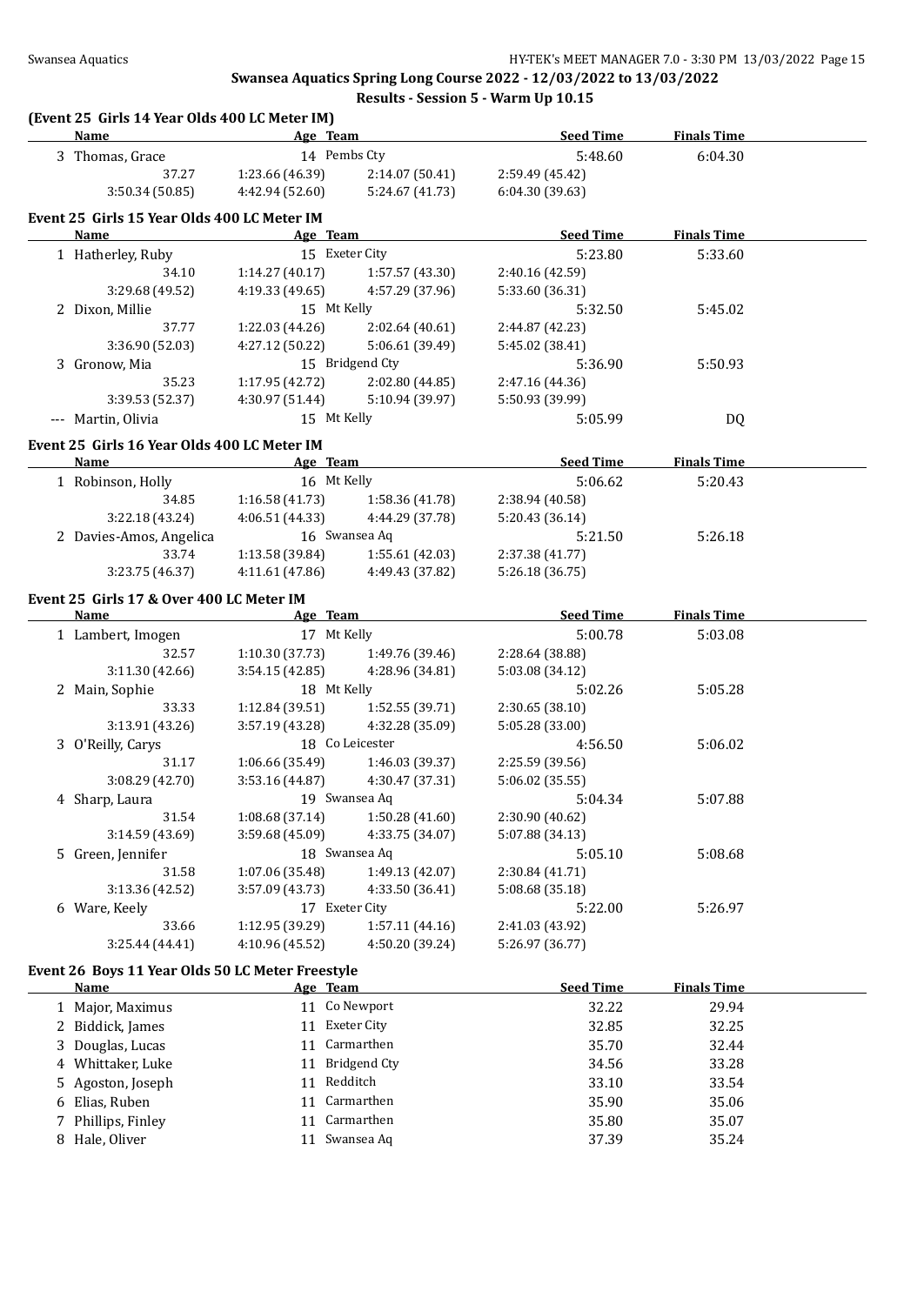#### **Swansea Aquatics Spring Long Course 2022 - 12/03/2022 to 13/03/2022 Results - Session 5 - Warm Up 10.15**

#### **(Event 25 Girls 14 Year Olds 400 LC Meter IM)**

| <b>Name</b>                                      | Age Team                         |                                    | <b>Seed Time</b>                   | <b>Finals Time</b> |  |
|--------------------------------------------------|----------------------------------|------------------------------------|------------------------------------|--------------------|--|
| 3 Thomas, Grace                                  | 14 Pembs Cty                     |                                    | 5:48.60                            | 6:04.30            |  |
| 37.27                                            | 1:23.66 (46.39)                  | 2:14.07 (50.41)                    | 2:59.49 (45.42)                    |                    |  |
| 3:50.34 (50.85)                                  | 4:42.94 (52.60)                  | 5:24.67 (41.73)                    | 6:04.30 (39.63)                    |                    |  |
|                                                  |                                  |                                    |                                    |                    |  |
| Event 25 Girls 15 Year Olds 400 LC Meter IM      |                                  |                                    |                                    |                    |  |
| Name                                             | Age Team                         |                                    | <b>Seed Time</b>                   | <b>Finals Time</b> |  |
| 1 Hatherley, Ruby                                | 15 Exeter City                   |                                    | 5:23.80                            | 5:33.60            |  |
| 34.10                                            | 1:14.27(40.17)                   | 1:57.57 (43.30)                    | 2:40.16 (42.59)                    |                    |  |
| 3:29.68 (49.52)                                  | 4:19.33 (49.65)                  | 4:57.29 (37.96)                    | 5:33.60 (36.31)                    |                    |  |
| 2 Dixon, Millie                                  | 15 Mt Kelly                      |                                    | 5:32.50                            | 5:45.02            |  |
| 37.77                                            | 1:22.03 (44.26)                  | 2:02.64(40.61)                     | 2:44.87 (42.23)                    |                    |  |
| 3:36.90 (52.03)                                  | 4:27.12 (50.22)                  | 5:06.61 (39.49)                    | 5:45.02 (38.41)                    |                    |  |
| 3 Gronow, Mia                                    |                                  | 15 Bridgend Cty                    | 5:36.90                            | 5:50.93            |  |
| 35.23                                            | 1:17.95 (42.72)                  | 2:02.80 (44.85)                    | 2:47.16 (44.36)                    |                    |  |
| 3:39.53 (52.37)                                  | 4:30.97 (51.44)                  | 5:10.94 (39.97)                    | 5:50.93 (39.99)                    |                    |  |
| --- Martin, Olivia                               | 15 Mt Kelly                      |                                    | 5:05.99                            | DQ                 |  |
| Event 25 Girls 16 Year Olds 400 LC Meter IM      |                                  |                                    |                                    |                    |  |
| Name                                             | Age Team                         |                                    | <b>Seed Time</b>                   | <b>Finals Time</b> |  |
| 1 Robinson, Holly                                | 16 Mt Kelly                      |                                    | 5:06.62                            | 5:20.43            |  |
| 34.85                                            |                                  | $1:16.58(41.73)$ $1:58.36(41.78)$  | 2:38.94 (40.58)                    |                    |  |
| 3:22.18 (43.24)                                  | 4:06.51 (44.33)                  | 4:44.29 (37.78)                    | 5:20.43 (36.14)                    |                    |  |
| 2 Davies-Amos, Angelica                          |                                  | 16 Swansea Aq                      | 5:21.50                            | 5:26.18            |  |
| 33.74                                            | 1:13.58 (39.84)                  | 1:55.61(42.03)                     | 2:37.38 (41.77)                    |                    |  |
| 3:23.75 (46.37)                                  | 4:11.61 (47.86)                  | 4:49.43 (37.82)                    | 5:26.18 (36.75)                    |                    |  |
|                                                  |                                  |                                    |                                    |                    |  |
| Event 25 Girls 17 & Over 400 LC Meter IM<br>Name | Age Team                         |                                    | <b>Seed Time</b>                   | <b>Finals Time</b> |  |
|                                                  | 17 Mt Kelly                      |                                    |                                    |                    |  |
| 1 Lambert, Imogen                                |                                  | 1:49.76 (39.46)                    | 5:00.78                            | 5:03.08            |  |
| 32.57<br>3:11.30 (42.66)                         | 1:10.30(37.73)<br>3:54.15(42.85) | 4:28.96 (34.81)                    | 2:28.64 (38.88)<br>5:03.08 (34.12) |                    |  |
| 2 Main, Sophie                                   | 18 Mt Kelly                      |                                    | 5:02.26                            | 5:05.28            |  |
| 33.33                                            |                                  |                                    |                                    |                    |  |
| 3:13.91 (43.26)                                  | 1:12.84 (39.51)                  | 1:52.55 (39.71)<br>4:32.28 (35.09) | 2:30.65 (38.10)<br>5:05.28 (33.00) |                    |  |
|                                                  | 3:57.19 (43.28)                  | 18 Co Leicester                    |                                    | 5:06.02            |  |
| 3 O'Reilly, Carys<br>31.17                       |                                  |                                    | 4:56.50                            |                    |  |
|                                                  | 1:06.66 (35.49)                  | 1:46.03 (39.37)                    | 2:25.59 (39.56)                    |                    |  |
| 3:08.29 (42.70)                                  | 3:53.16(44.87)                   | 4:30.47 (37.31)                    | 5:06.02 (35.55)                    |                    |  |
| 4 Sharp, Laura                                   |                                  | 19 Swansea Aq                      | 5:04.34                            | 5:07.88            |  |
| 31.54                                            | 1:08.68(37.14)                   | 1:50.28 (41.60)                    | 2:30.90 (40.62)                    |                    |  |
| 3:14.59 (43.69)                                  | 3:59.68 (45.09)                  | 4:33.75 (34.07)                    | 5:07.88 (34.13)                    |                    |  |
| 5 Green, Jennifer                                |                                  | 18 Swansea Aq                      | 5:05.10                            | 5:08.68            |  |
| 31.58                                            | 1:07.06 (35.48)                  | 1:49.13 (42.07)                    | 2:30.84 (41.71)                    |                    |  |
| 3:13.36 (42.52)                                  | 3:57.09 (43.73)                  | 4:33.50 (36.41)                    | 5:08.68 (35.18)                    |                    |  |
| 6 Ware, Keely                                    | 17 Exeter City                   |                                    | 5:22.00                            | 5:26.97            |  |
| 33.66                                            | 1:12.95 (39.29)                  | 1:57.11 (44.16)                    | 2:41.03 (43.92)                    |                    |  |
| 3:25.44(44.41)                                   | 4:10.96 (45.52)                  | 4:50.20 (39.24)                    | 5:26.97 (36.77)                    |                    |  |
| Event 26 Boys 11 Year Olds 50 LC Meter Freestyle |                                  |                                    |                                    |                    |  |
| Name                                             | Age Team                         |                                    | <b>Seed Time</b>                   | <b>Finals Time</b> |  |
| 1 Major, Maximus                                 |                                  | 11 Co Newport                      | 32.22                              | 29.94              |  |
| 2 Biddick, James                                 | 11 Exeter City                   |                                    | 32.85                              | 32.25              |  |
| 3 Douglas, Lucas                                 |                                  | 11 Carmarthen                      | 35.70                              | 32.44              |  |
| 4 Whittaker, Luke                                |                                  | 11 Bridgend Cty                    | 34.56                              | 33.28              |  |
| 5 Agoston, Joseph                                | 11 Redditch                      |                                    | 33.10                              | 33.54              |  |
| 6 Elias, Ruben                                   |                                  | 11 Carmarthen                      | 35.90                              | 35.06              |  |
| 7 Phillips, Finley                               |                                  | 11 Carmarthen                      | 35.80                              | 35.07              |  |
| 8 Hale, Oliver                                   |                                  | 11 Swansea Aq                      | 37.39                              | 35.24              |  |
|                                                  |                                  |                                    |                                    |                    |  |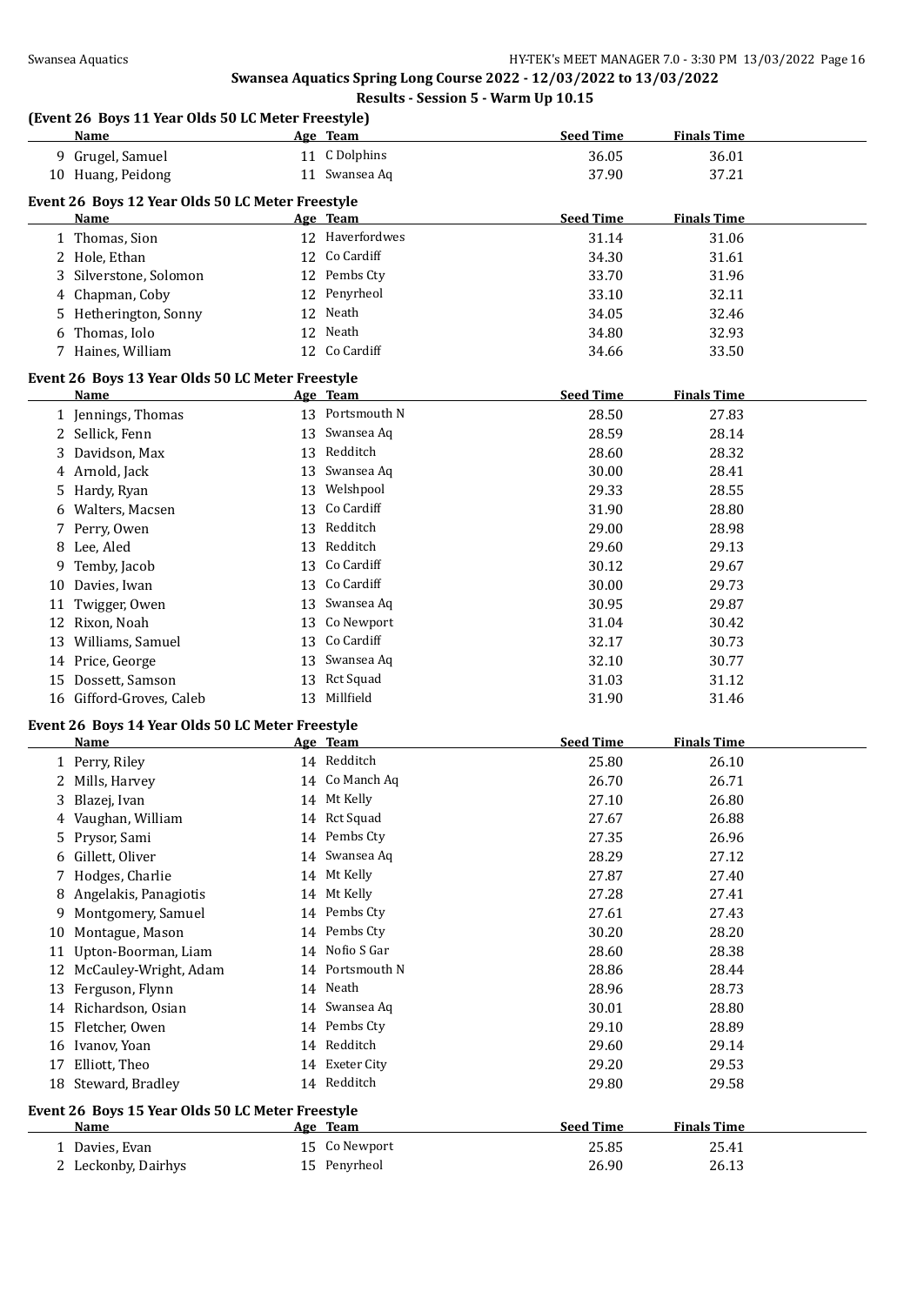|    | Name                                                            |    | Age Team        | <b>Seed Time</b> | <b>Finals Time</b> |
|----|-----------------------------------------------------------------|----|-----------------|------------------|--------------------|
|    | 9 Grugel, Samuel                                                |    | 11 C Dolphins   | 36.05            | 36.01              |
|    | 10 Huang, Peidong                                               |    | 11 Swansea Aq   | 37.90            | 37.21              |
|    | Event 26 Boys 12 Year Olds 50 LC Meter Freestyle                |    |                 |                  |                    |
|    | Name                                                            |    | Age Team        | <b>Seed Time</b> | <b>Finals Time</b> |
|    | 1 Thomas, Sion                                                  |    | 12 Haverfordwes | 31.14            | 31.06              |
|    | 2 Hole, Ethan                                                   |    | 12 Co Cardiff   | 34.30            | 31.61              |
|    | 3 Silverstone, Solomon                                          |    | 12 Pembs Ctv    | 33.70            | 31.96              |
| 4  | Chapman, Coby                                                   |    | 12 Penyrheol    | 33.10            | 32.11              |
|    |                                                                 |    | 12 Neath        | 34.05            | 32.46              |
|    | 5 Hetherington, Sonny<br>6 Thomas, Iolo                         |    | 12 Neath        | 34.80            | 32.93              |
|    |                                                                 |    | 12 Co Cardiff   |                  |                    |
|    | 7 Haines, William                                               |    |                 | 34.66            | 33.50              |
|    | Event 26 Boys 13 Year Olds 50 LC Meter Freestyle                |    |                 |                  |                    |
|    | Name                                                            |    | Age Team        | <b>Seed Time</b> | <b>Finals Time</b> |
|    | 1 Jennings, Thomas                                              |    | 13 Portsmouth N | 28.50            | 27.83              |
|    | 2 Sellick, Fenn                                                 |    | 13 Swansea Aq   | 28.59            | 28.14              |
|    | 3 Davidson, Max                                                 |    | 13 Redditch     | 28.60            | 28.32              |
|    | 4 Arnold, Jack                                                  |    | 13 Swansea Aq   | 30.00            | 28.41              |
|    | 5 Hardy, Ryan                                                   |    | 13 Welshpool    | 29.33            | 28.55              |
|    | 6 Walters, Macsen                                               |    | 13 Co Cardiff   | 31.90            | 28.80              |
|    | 7 Perry, Owen                                                   | 13 | Redditch        | 29.00            | 28.98              |
|    | 8 Lee, Aled                                                     | 13 | Redditch        | 29.60            | 29.13              |
| 9  | Temby, Jacob                                                    | 13 | Co Cardiff      | 30.12            | 29.67              |
| 10 | Davies, Iwan                                                    |    | 13 Co Cardiff   | 30.00            | 29.73              |
| 11 | Twigger, Owen                                                   |    | 13 Swansea Aq   | 30.95            | 29.87              |
|    | 12 Rixon, Noah                                                  |    | 13 Co Newport   | 31.04            | 30.42              |
| 13 | Williams, Samuel                                                |    | 13 Co Cardiff   | 32.17            | 30.73              |
|    | 14 Price, George                                                |    | 13 Swansea Aq   | 32.10            | 30.77              |
|    | 15 Dossett, Samson                                              |    | 13 Rct Squad    | 31.03            | 31.12              |
|    | 16 Gifford-Groves, Caleb                                        |    | 13 Millfield    | 31.90            | 31.46              |
|    |                                                                 |    |                 |                  |                    |
|    | Event 26 Boys 14 Year Olds 50 LC Meter Freestyle<br><b>Name</b> |    | Age Team        | <b>Seed Time</b> | <b>Finals Time</b> |
|    | 1 Perry, Riley                                                  |    | 14 Redditch     | 25.80            | 26.10              |
|    | 2 Mills, Harvey                                                 |    | 14 Co Manch Aq  | 26.70            | 26.71              |
|    | 3 Blazej, Ivan                                                  |    | 14 Mt Kelly     | 27.10            | 26.80              |
|    |                                                                 |    |                 |                  |                    |
| 4  | Vaughan, William<br>Prysor, Sami                                |    | 14 Rct Squad    | 27.67            | 26.88              |
| 5  |                                                                 |    |                 |                  |                    |
|    |                                                                 |    | 14 Pembs Cty    | 27.35            | 26.96              |
| 6  | Gillett, Oliver                                                 |    | 14 Swansea Aq   | 28.29            | 27.12              |
| 7  | Hodges, Charlie                                                 |    | 14 Mt Kelly     | 27.87            | 27.40              |
| 8  | Angelakis, Panagiotis                                           |    | 14 Mt Kelly     | 27.28            | 27.41              |
| 9  | Montgomery, Samuel                                              |    | 14 Pembs Cty    | 27.61            | 27.43              |
| 10 | Montague, Mason                                                 |    | 14 Pembs Cty    | 30.20            | 28.20              |
| 11 | Upton-Boorman, Liam                                             |    | 14 Nofio S Gar  | 28.60            | 28.38              |
| 12 | McCauley-Wright, Adam                                           |    | 14 Portsmouth N | 28.86            | 28.44              |
| 13 | Ferguson, Flynn                                                 |    | 14 Neath        | 28.96            | 28.73              |
|    | 14 Richardson, Osian                                            |    | 14 Swansea Aq   | 30.01            | 28.80              |
| 15 | Fletcher, Owen                                                  |    | 14 Pembs Cty    | 29.10            | 28.89              |
|    | 16 Ivanov, Yoan                                                 |    | 14 Redditch     | 29.60            | 29.14              |
| 17 | Elliott, Theo                                                   |    | 14 Exeter City  | 29.20            | 29.53              |
|    | 18 Steward, Bradley                                             |    | 14 Redditch     | 29.80            | 29.58              |
|    |                                                                 |    |                 |                  |                    |
|    | Event 26 Boys 15 Year Olds 50 LC Meter Freestyle<br><u>Name</u> |    | Age Team        | <b>Seed Time</b> | <b>Finals Time</b> |
|    | 1 Davies, Evan                                                  |    | 15 Co Newport   | 25.85            | 25.41              |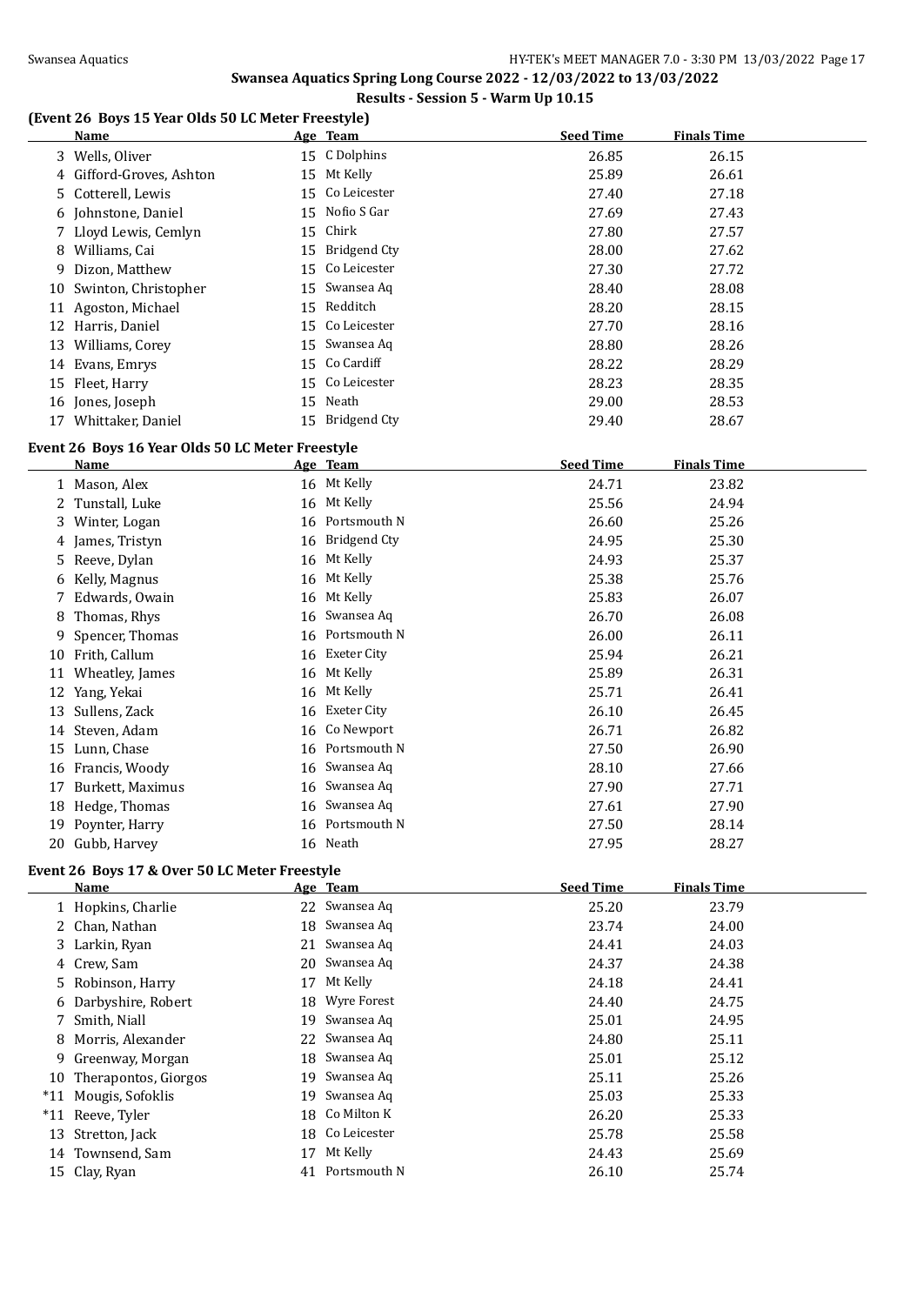# **Swansea Aquatics Spring Long Course 2022 - 12/03/2022 to 13/03/2022**

# **Results - Session 5 - Warm Up 10.15**

# **(Event 26 Boys 15 Year Olds 50 LC Meter Freestyle)**

| <u>Name</u>                                      |    | Age Team        | <b>Seed Time</b> | <b>Finals Time</b> |  |  |
|--------------------------------------------------|----|-----------------|------------------|--------------------|--|--|
| 3 Wells, Oliver                                  |    | 15 C Dolphins   | 26.85            | 26.15              |  |  |
| 4 Gifford-Groves, Ashton                         |    | 15 Mt Kelly     | 25.89            | 26.61              |  |  |
| 5 Cotterell, Lewis                               |    | 15 Co Leicester | 27.40            | 27.18              |  |  |
| 6 Johnstone, Daniel                              |    | 15 Nofio S Gar  | 27.69            | 27.43              |  |  |
| 7 Lloyd Lewis, Cemlyn                            |    | 15 Chirk        | 27.80            | 27.57              |  |  |
| 8 Williams, Cai                                  |    | 15 Bridgend Cty | 28.00            | 27.62              |  |  |
| 9 Dizon, Matthew                                 |    | 15 Co Leicester | 27.30            | 27.72              |  |  |
| 10 Swinton, Christopher                          |    | 15 Swansea Aq   | 28.40            | 28.08              |  |  |
| 11 Agoston, Michael                              |    | 15 Redditch     | 28.20            | 28.15              |  |  |
| 12 Harris, Daniel                                |    | 15 Co Leicester | 27.70            | 28.16              |  |  |
| 13 Williams, Corey                               |    | 15 Swansea Aq   | 28.80            | 28.26              |  |  |
| 14 Evans, Emrys                                  |    | 15 Co Cardiff   | 28.22            | 28.29              |  |  |
| 15 Fleet, Harry                                  |    | 15 Co Leicester | 28.23            | 28.35              |  |  |
| 16 Jones, Joseph                                 |    | 15 Neath        | 29.00            | 28.53              |  |  |
| 17 Whittaker, Daniel                             |    | 15 Bridgend Cty | 29.40            | 28.67              |  |  |
| Event 26 Boys 16 Year Olds 50 LC Meter Freestyle |    |                 |                  |                    |  |  |
| <b>Name</b>                                      |    | <u>Age Team</u> | <b>Seed Time</b> | <b>Finals Time</b> |  |  |
| 1 Mason, Alex                                    |    | 16 Mt Kelly     | 24.71            | 23.82              |  |  |
| 2 Tunstall, Luke                                 |    | 16 Mt Kelly     | 25.56            | 24.94              |  |  |
| 3 Winter, Logan                                  |    | 16 Portsmouth N | 26.60            | 25.26              |  |  |
| 4 James, Tristyn                                 |    | 16 Bridgend Cty | 24.95            | 25.30              |  |  |
| 5 Reeve, Dylan                                   |    | 16 Mt Kelly     | 24.93            | 25.37              |  |  |
| 6 Kelly, Magnus                                  |    | 16 Mt Kelly     | 25.38            | 25.76              |  |  |
| 7 Edwards, Owain                                 |    | 16 Mt Kelly     | 25.83            | 26.07              |  |  |
| 8 Thomas, Rhys                                   |    | 16 Swansea Aq   | 26.70            | 26.08              |  |  |
| 9 Spencer, Thomas                                |    | 16 Portsmouth N | 26.00            | 26.11              |  |  |
| 10 Frith, Callum                                 |    | 16 Exeter City  | 25.94            | 26.21              |  |  |
| 11 Wheatley, James                               |    | 16 Mt Kelly     | 25.89            | 26.31              |  |  |
| 12 Yang, Yekai                                   |    | 16 Mt Kelly     | 25.71            | 26.41              |  |  |
| 13 Sullens, Zack                                 |    | 16 Exeter City  | 26.10            | 26.45              |  |  |
| 14 Steven, Adam                                  |    | 16 Co Newport   | 26.71            | 26.82              |  |  |
| 15 Lunn, Chase                                   |    | 16 Portsmouth N | 27.50            | 26.90              |  |  |
| 16 Francis, Woody                                | 16 | Swansea Aq      | 28.10            | 27.66              |  |  |
| 17 Burkett, Maximus                              |    | 16 Swansea Aq   | 27.90            | 27.71              |  |  |
| 18 Hedge, Thomas                                 |    | 16 Swansea Aq   | 27.61            | 27.90              |  |  |
| 19 Poynter, Harry                                |    | 16 Portsmouth N | 27.50            | 28.14              |  |  |
| 20 Gubb, Harvey                                  |    | 16 Neath        | 27.95            | 28.27              |  |  |
| Event 26 Boys 17 & Over 50 LC Meter Freestyle    |    |                 |                  |                    |  |  |
| <b>Name</b>                                      |    | Age Team        | <b>Seed Time</b> | <b>Finals Time</b> |  |  |
| 1 Hopkins, Charlie                               |    | 22 Swansea Aq   | 25.20            | 23.79              |  |  |

| 1 Hopkins, Charlie      |    | 22 Swansea Aq   | 25.20 | 23.79 |
|-------------------------|----|-----------------|-------|-------|
| 2 Chan, Nathan          |    | 18 Swansea Aq   | 23.74 | 24.00 |
| 3 Larkin, Ryan          |    | 21 Swansea Aq   | 24.41 | 24.03 |
| 4 Crew, Sam             |    | 20 Swansea Aq   | 24.37 | 24.38 |
| 5 Robinson, Harry       | 17 | Mt Kelly        | 24.18 | 24.41 |
| 6 Darbyshire, Robert    |    | 18 Wyre Forest  | 24.40 | 24.75 |
| 7 Smith, Niall          |    | 19 Swansea Aq   | 25.01 | 24.95 |
| 8 Morris, Alexander     |    | 22 Swansea Aq   | 24.80 | 25.11 |
| 9 Greenway, Morgan      |    | 18 Swansea Aq   | 25.01 | 25.12 |
| 10 Therapontos, Giorgos |    | 19 Swansea Aq   | 25.11 | 25.26 |
| *11 Mougis, Sofoklis    | 19 | Swansea Aq      | 25.03 | 25.33 |
| *11 Reeve, Tyler        |    | 18 Co Milton K  | 26.20 | 25.33 |
| 13 Stretton, Jack       |    | 18 Co Leicester | 25.78 | 25.58 |
| 14 Townsend, Sam        | 17 | Mt Kelly        | 24.43 | 25.69 |
| 15 Clay, Ryan           |    | 41 Portsmouth N | 26.10 | 25.74 |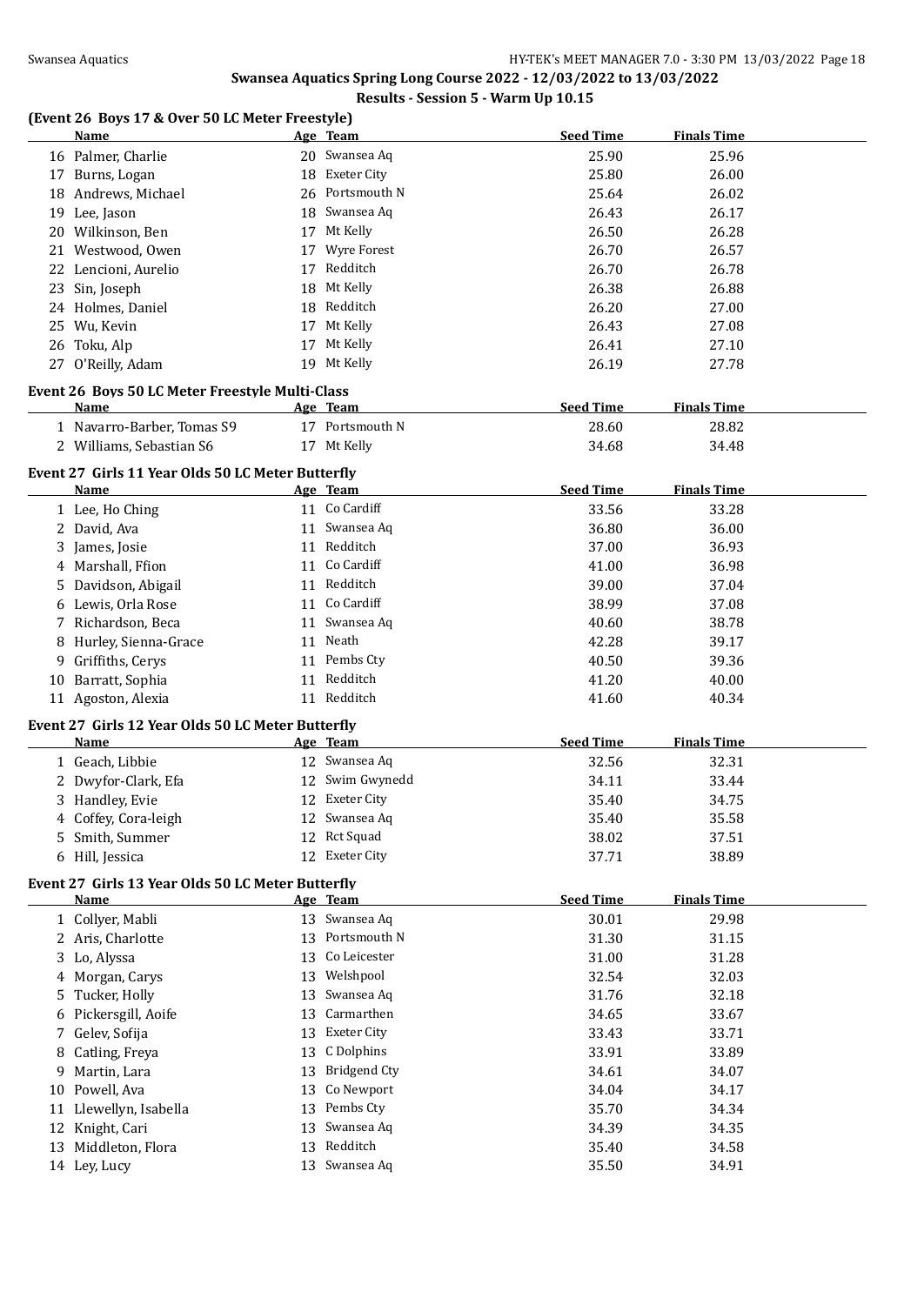# **Swansea Aquatics Spring Long Course 2022 - 12/03/2022 to 13/03/2022**

# **Results - Session 5 - Warm Up 10.15**

# **(Event 26 Boys 17 & Over 50 LC Meter Freestyle)**

|    | <b>Name</b>                                       |    | Age Team            | <b>Seed Time</b> | <b>Finals Time</b> |  |
|----|---------------------------------------------------|----|---------------------|------------------|--------------------|--|
|    | 16 Palmer, Charlie                                |    | 20 Swansea Aq       | 25.90            | 25.96              |  |
|    | 17 Burns, Logan                                   |    | 18 Exeter City      | 25.80            | 26.00              |  |
|    | 18 Andrews, Michael                               | 26 | Portsmouth N        | 25.64            | 26.02              |  |
|    | 19 Lee, Jason                                     | 18 | Swansea Aq          | 26.43            | 26.17              |  |
|    | 20 Wilkinson, Ben                                 | 17 | Mt Kelly            | 26.50            | 26.28              |  |
| 21 | Westwood, Owen                                    | 17 | Wyre Forest         | 26.70            | 26.57              |  |
| 22 | Lencioni, Aurelio                                 | 17 | Redditch            | 26.70            | 26.78              |  |
| 23 | Sin, Joseph                                       | 18 | Mt Kelly            | 26.38            | 26.88              |  |
|    | 24 Holmes, Daniel                                 | 18 | Redditch            | 26.20            | 27.00              |  |
|    | 25 Wu, Kevin                                      | 17 | Mt Kelly            | 26.43            | 27.08              |  |
|    | 26 Toku, Alp                                      |    | 17 Mt Kelly         | 26.41            | 27.10              |  |
|    | 27 O'Reilly, Adam                                 |    | 19 Mt Kelly         | 26.19            | 27.78              |  |
|    |                                                   |    |                     |                  |                    |  |
|    | Event 26 Boys 50 LC Meter Freestyle Multi-Class   |    |                     |                  |                    |  |
|    | Name                                              |    | Age Team            | <b>Seed Time</b> | <b>Finals Time</b> |  |
|    | 1 Navarro-Barber, Tomas S9                        |    | 17 Portsmouth N     | 28.60            | 28.82              |  |
|    | 2 Williams, Sebastian S6                          |    | 17 Mt Kelly         | 34.68            | 34.48              |  |
|    | Event 27 Girls 11 Year Olds 50 LC Meter Butterfly |    |                     |                  |                    |  |
|    | <b>Name</b>                                       |    | Age Team            | <b>Seed Time</b> | <b>Finals Time</b> |  |
|    | 1 Lee, Ho Ching                                   |    | 11 Co Cardiff       | 33.56            | 33.28              |  |
|    | 2 David, Ava                                      |    | 11 Swansea Aq       | 36.80            | 36.00              |  |
|    | 3 James, Josie                                    |    | 11 Redditch         | 37.00            | 36.93              |  |
| 4  | Marshall, Ffion                                   |    | 11 Co Cardiff       | 41.00            | 36.98              |  |
| 5. | Davidson, Abigail                                 |    | 11 Redditch         | 39.00            | 37.04              |  |
| 6  | Lewis, Orla Rose                                  |    | 11 Co Cardiff       | 38.99            | 37.08              |  |
|    | 7 Richardson, Beca                                |    | 11 Swansea Aq       | 40.60            | 38.78              |  |
| 8  | Hurley, Sienna-Grace                              |    | 11 Neath            | 42.28            | 39.17              |  |
| 9  | Griffiths, Cerys                                  |    | 11 Pembs Cty        | 40.50            | 39.36              |  |
|    | 10 Barratt, Sophia                                |    | 11 Redditch         | 41.20            | 40.00              |  |
|    | 11 Agoston, Alexia                                |    | 11 Redditch         | 41.60            | 40.34              |  |
|    |                                                   |    |                     |                  |                    |  |
|    | Event 27 Girls 12 Year Olds 50 LC Meter Butterfly |    |                     |                  |                    |  |
|    | Name                                              |    | Age Team            | <b>Seed Time</b> | <b>Finals Time</b> |  |
|    | 1 Geach, Libbie                                   |    | 12 Swansea Aq       | 32.56            | 32.31              |  |
| 2  | Dwyfor-Clark, Efa                                 |    | 12 Swim Gwynedd     | 34.11            | 33.44              |  |
| 3  | Handley, Evie                                     | 12 | Exeter City         | 35.40            | 34.75              |  |
| 4  | Coffey, Cora-leigh                                |    | 12 Swansea Aq       | 35.40            | 35.58              |  |
|    | 5 Smith, Summer                                   |    | 12 Rct Squad        | 38.02            | 37.51              |  |
|    | 6 Hill, Jessica                                   |    | 12 Exeter City      | 37.71            | 38.89              |  |
|    | Event 27 Girls 13 Year Olds 50 LC Meter Butterfly |    |                     |                  |                    |  |
|    | <u>Name</u>                                       |    | Age Team            | <b>Seed Time</b> | <b>Finals Time</b> |  |
|    | 1 Collyer, Mabli                                  |    | 13 Swansea Aq       | 30.01            | 29.98              |  |
|    | 2 Aris, Charlotte                                 | 13 | Portsmouth N        | 31.30            | 31.15              |  |
| 3  | Lo, Alyssa                                        | 13 | Co Leicester        | 31.00            | 31.28              |  |
| 4  | Morgan, Carys                                     | 13 | Welshpool           | 32.54            | 32.03              |  |
| 5  | Tucker, Holly                                     | 13 | Swansea Aq          | 31.76            | 32.18              |  |
| 6  | Pickersgill, Aoife                                | 13 | Carmarthen          | 34.65            | 33.67              |  |
| 7  | Gelev, Sofija                                     | 13 | <b>Exeter City</b>  | 33.43            | 33.71              |  |
| 8  | Catling, Freya                                    | 13 | C Dolphins          | 33.91            | 33.89              |  |
| 9  | Martin, Lara                                      | 13 | <b>Bridgend Cty</b> | 34.61            | 34.07              |  |
| 10 | Powell, Ava                                       | 13 | Co Newport          | 34.04            | 34.17              |  |
|    | 11 Llewellyn, Isabella                            | 13 | Pembs Cty           | 35.70            | 34.34              |  |
|    | 12 Knight, Cari                                   | 13 | Swansea Aq          | 34.39            | 34.35              |  |
|    | 13 Middleton, Flora                               | 13 | Redditch            | 35.40            | 34.58              |  |
|    | 14 Ley, Lucy                                      |    | 13 Swansea Aq       | 35.50            | 34.91              |  |
|    |                                                   |    |                     |                  |                    |  |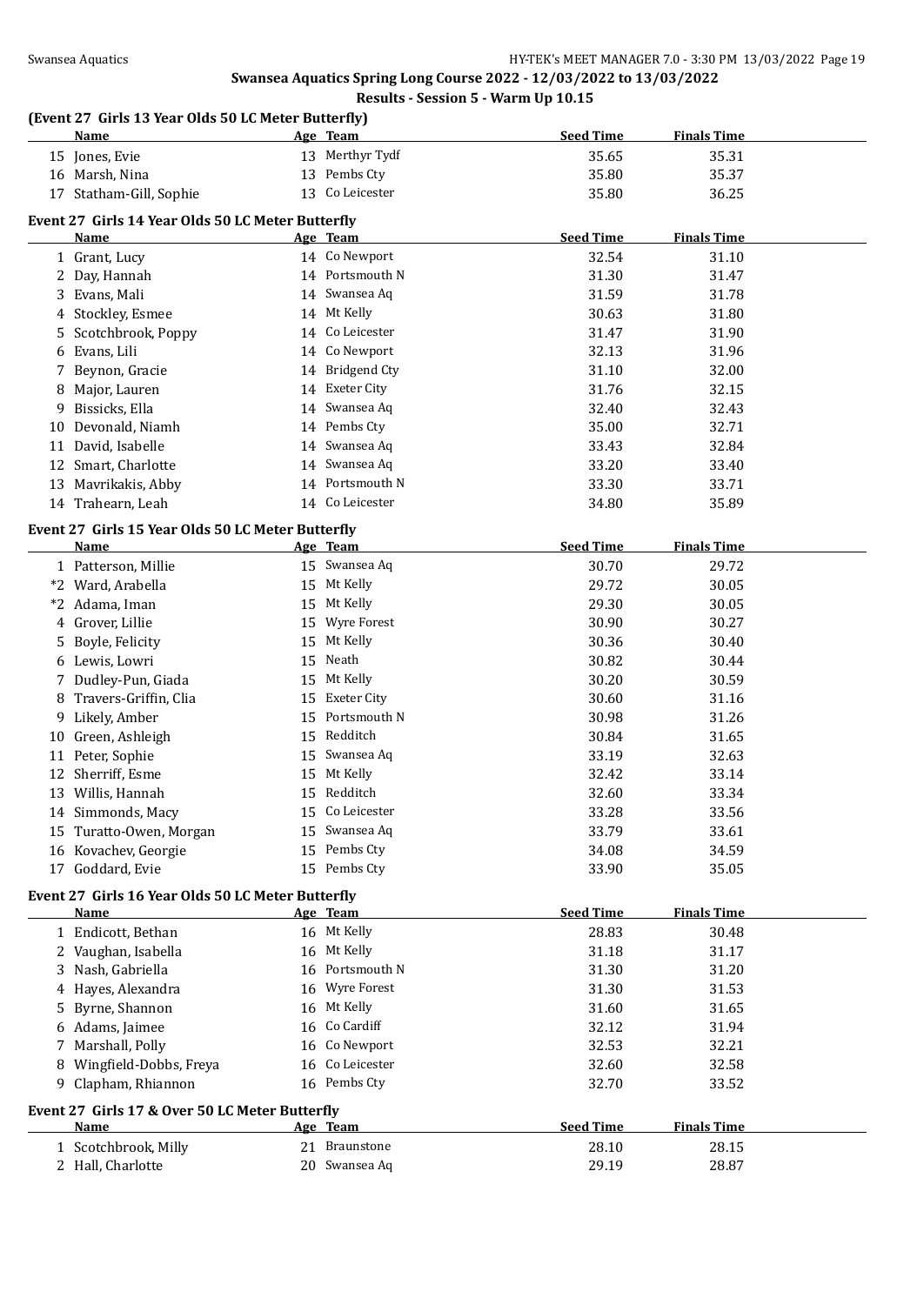# **(Event 27 Girls 13 Year Olds 50 LC Meter Butterfly)**

|    | <b>Name</b>                                       |    | Age Team            | <b>Seed Time</b> | <b>Finals Time</b> |  |
|----|---------------------------------------------------|----|---------------------|------------------|--------------------|--|
|    | 15 Jones, Evie                                    |    | 13 Merthyr Tydf     | 35.65            | 35.31              |  |
|    | 16 Marsh, Nina                                    | 13 | Pembs Cty           | 35.80            | 35.37              |  |
|    | 17 Statham-Gill, Sophie                           | 13 | Co Leicester        | 35.80            | 36.25              |  |
|    | Event 27 Girls 14 Year Olds 50 LC Meter Butterfly |    |                     |                  |                    |  |
|    | <b>Name</b>                                       |    | <u>Age Team</u>     | <b>Seed Time</b> | <b>Finals Time</b> |  |
|    | 1 Grant, Lucy                                     |    | 14 Co Newport       | 32.54            | 31.10              |  |
|    | 2 Day, Hannah                                     |    | 14 Portsmouth N     | 31.30            | 31.47              |  |
|    | 3 Evans, Mali                                     |    | 14 Swansea Aq       | 31.59            | 31.78              |  |
|    | 4 Stockley, Esmee                                 |    | 14 Mt Kelly         | 30.63            | 31.80              |  |
| 5. | Scotchbrook, Poppy                                |    | 14 Co Leicester     | 31.47            | 31.90              |  |
| 6  | Evans, Lili                                       | 14 | Co Newport          | 32.13            | 31.96              |  |
| 7  | Beynon, Gracie                                    | 14 | <b>Bridgend Cty</b> | 31.10            | 32.00              |  |
| 8  | Major, Lauren                                     | 14 | <b>Exeter City</b>  | 31.76            | 32.15              |  |
| 9  | Bissicks, Ella                                    | 14 | Swansea Aq          | 32.40            | 32.43              |  |
| 10 | Devonald, Niamh                                   | 14 | Pembs Cty           | 35.00            | 32.71              |  |
|    | 11 David, Isabelle                                | 14 | Swansea Aq          | 33.43            | 32.84              |  |
|    | 12 Smart, Charlotte                               |    | 14 Swansea Aq       | 33.20            | 33.40              |  |
|    |                                                   |    | 14 Portsmouth N     | 33.30            |                    |  |
|    | 13 Mavrikakis, Abby                               |    | 14 Co Leicester     |                  | 33.71              |  |
|    | 14 Trahearn, Leah                                 |    |                     | 34.80            | 35.89              |  |
|    | Event 27 Girls 15 Year Olds 50 LC Meter Butterfly |    |                     |                  |                    |  |
|    | <b>Name</b>                                       |    | Age Team            | <b>Seed Time</b> | <b>Finals Time</b> |  |
|    | 1 Patterson, Millie                               |    | 15 Swansea Aq       | 30.70            | 29.72              |  |
|    | *2 Ward, Arabella                                 |    | 15 Mt Kelly         | 29.72            | 30.05              |  |
|    | *2 Adama, Iman                                    | 15 | Mt Kelly            | 29.30            | 30.05              |  |
|    | 4 Grover, Lillie                                  | 15 | Wyre Forest         | 30.90            | 30.27              |  |
| 5  | Boyle, Felicity                                   | 15 | Mt Kelly            | 30.36            | 30.40              |  |
|    | 6 Lewis, Lowri                                    | 15 | Neath               | 30.82            | 30.44              |  |
|    | 7 Dudley-Pun, Giada                               | 15 | Mt Kelly            | 30.20            | 30.59              |  |
| 8  | Travers-Griffin, Clia                             | 15 | <b>Exeter City</b>  | 30.60            | 31.16              |  |
| 9  | Likely, Amber                                     | 15 | Portsmouth N        | 30.98            | 31.26              |  |
|    | 10 Green, Ashleigh                                | 15 | Redditch            | 30.84            | 31.65              |  |
| 11 | Peter, Sophie                                     | 15 | Swansea Aq          | 33.19            | 32.63              |  |
|    | 12 Sherriff, Esme                                 | 15 | Mt Kelly            | 32.42            | 33.14              |  |
|    | 13 Willis, Hannah                                 | 15 | Redditch            | 32.60            | 33.34              |  |
|    | 14 Simmonds, Macy                                 |    | 15 Co Leicester     | 33.28            | 33.56              |  |
|    | 15 Turatto-Owen, Morgan                           |    | 15 Swansea Aq       | 33.79            | 33.61              |  |
|    | 16 Kovachev, Georgie                              |    | 15 Pembs Cty        | 34.08            | 34.59              |  |
|    | 17 Goddard, Evie                                  |    | 15 Pembs Cty        | 33.90            | 35.05              |  |
|    | Event 27 Girls 16 Year Olds 50 LC Meter Butterfly |    |                     |                  |                    |  |
|    | Name                                              |    | Age Team            | <b>Seed Time</b> | <b>Finals Time</b> |  |
|    | 1 Endicott, Bethan                                |    | 16 Mt Kelly         | 28.83            | 30.48              |  |
|    | 2 Vaughan, Isabella                               |    | 16 Mt Kelly         | 31.18            | 31.17              |  |
| 3  | Nash, Gabriella                                   | 16 | Portsmouth N        | 31.30            | 31.20              |  |
|    | Hayes, Alexandra                                  | 16 | <b>Wyre Forest</b>  | 31.30            | 31.53              |  |
| 5  | Byrne, Shannon                                    | 16 | Mt Kelly            | 31.60            | 31.65              |  |
|    | 6 Adams, Jaimee                                   | 16 | Co Cardiff          | 32.12            | 31.94              |  |
| 7  | Marshall, Polly                                   | 16 | Co Newport          | 32.53            | 32.21              |  |
|    | 8 Wingfield-Dobbs, Freya                          | 16 | Co Leicester        | 32.60            | 32.58              |  |
|    | 9 Clapham, Rhiannon                               |    | 16 Pembs Cty        | 32.70            | 33.52              |  |
|    |                                                   |    |                     |                  |                    |  |
|    | Event 27 Girls 17 & Over 50 LC Meter Butterfly    |    |                     |                  |                    |  |
|    | Name                                              |    | Age Team            | <b>Seed Time</b> | <b>Finals Time</b> |  |
|    | 1 Scotchbrook, Milly                              |    | 21 Braunstone       | 28.10            | 28.15              |  |
|    | 2 Hall, Charlotte                                 |    | 20 Swansea Aq       | 29.19            | 28.87              |  |